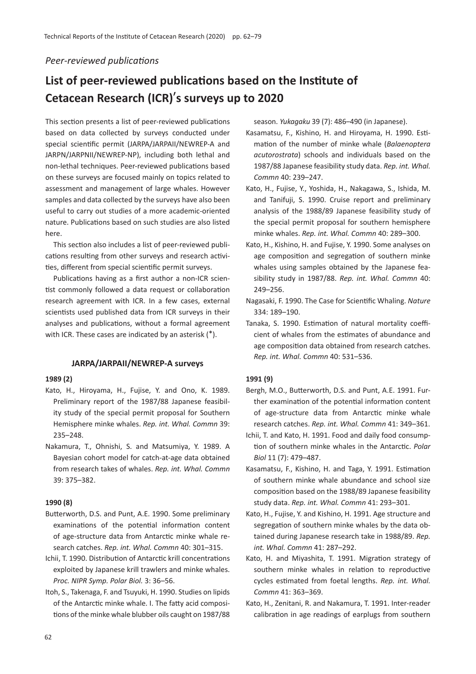# *Peer-reviewed publications*

# List of peer-reviewed publications based on the Institute of **Cetacean Research (ICR)**'**s surveys up to 2020**

This section presents a list of peer-reviewed publications based on data collected by surveys conducted under special scientific permit (JARPA/JARPAII/NEWREP-A and JARPN/JARPNII/NEWREP-NP), including both lethal and non-lethal techniques. Peer-reviewed publications based on these surveys are focused mainly on topics related to assessment and management of large whales. However samples and data collected by the surveys have also been useful to carry out studies of a more academic-oriented nature. Publications based on such studies are also listed here.

This section also includes a list of peer-reviewed publications resulting from other surveys and research activities, different from special scientific permit surveys.

Publications having as a first author a non-ICR scientist commonly followed a data request or collaboration research agreement with ICR. In a few cases, external scientists used published data from ICR surveys in their analyses and publications, without a formal agreement with ICR. These cases are indicated by an asterisk (\*).

### **JARPA/JARPAII/NEWREP-A surveys**

# **1989 (2)**

- Kato, H., Hiroyama, H., Fujise, Y. and Ono, K. 1989. Preliminary report of the 1987/88 Japanese feasibility study of the special permit proposal for Southern Hemisphere minke whales. *Rep. int. Whal. Commn* 39: 235–248.
- Nakamura, T., Ohnishi, S. and Matsumiya, Y. 1989. A Bayesian cohort model for catch-at-age data obtained from research takes of whales. *Rep. int. Whal. Commn* 39: 375–382.

### **1990 (8)**

- Butterworth, D.S. and Punt, A.E. 1990. Some preliminary examinations of the potential information content of age-structure data from Antarc�c minke whale research catches. *Rep. int. Whal. Commn* 40: 301–315.
- Ichii, T. 1990. Distribution of Antarctic krill concentrations exploited by Japanese krill trawlers and minke whales. *Proc. NIPR Symp. Polar Biol.* 3: 36–56.
- Itoh, S., Takenaga, F. and Tsuyuki, H. 1990. Studies on lipids of the Antarctic minke whale. I. The fatty acid compositions of the minke whale blubber oils caught on 1987/88

season. *Yukagaku* 39 (7): 486–490 (in Japanese).

- Kasamatsu, F., Kishino, H. and Hiroyama, H. 1990. Es� mation of the number of minke whale (*Balaenoptera*) *acutorostrata*) schools and individuals based on the 1987/88 Japanese feasibility study data. *Rep. int. Whal. Commn* 40: 239–247.
- Kato, H., Fujise, Y., Yoshida, H., Nakagawa, S., Ishida, M. and Tanifuji, S. 1990. Cruise report and preliminary analysis of the 1988/89 Japanese feasibility study of the special permit proposal for southern hemisphere minke whales. *Rep. int. Whal. Commn* 40: 289–300.
- Kato, H., Kishino, H. and Fujise, Y. 1990. Some analyses on age composition and segregation of southern minke whales using samples obtained by the Japanese feasibility study in 1987/88. *Rep. int. Whal. Commn* 40: 249–256.
- Nagasaki, F. 1990. The Case for Scien�fic Whaling. *Nature* 334: 189–190.
- Tanaka, S. 1990. Estimation of natural mortality coefficient of whales from the estimates of abundance and age composition data obtained from research catches. *Rep. int. Whal. Commn* 40: 531–536.

#### **1991 (9)**

- Bergh, M.O., Butterworth, D.S. and Punt, A.E. 1991. Further examination of the potential information content of age-structure data from Antarctic minke whale research catches. *Rep. int. Whal. Commn* 41: 349–361.
- Ichii, T. and Kato, H. 1991. Food and daily food consump tion of southern minke whales in the Antarctic. *Polar Biol* 11 (7): 479–487.
- Kasamatsu, F., Kishino, H. and Taga, Y. 1991. Estimation of southern minke whale abundance and school size composition based on the 1988/89 Japanese feasibility study data. *Rep. int. Whal. Commn* 41: 293–301.
- Kato, H., Fujise, Y. and Kishino, H. 1991. Age structure and segregation of southern minke whales by the data obtained during Japanese research take in 1988/89. *Rep. int. Whal. Commn* 41: 287–292.
- Kato, H. and Miyashita, T. 1991. Migration strategy of southern minke whales in relation to reproductive cycles estimated from foetal lengths. *Rep. int. Whal. Commn* 41: 363–369.
- Kato, H., Zenitani, R. and Nakamura, T. 1991. Inter-reader calibration in age readings of earplugs from southern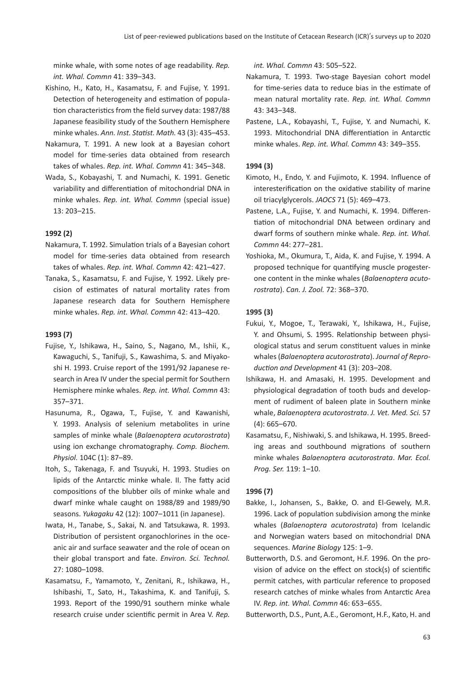minke whale, with some notes of age readability. *Rep. int. Whal. Commn* 41: 339–343.

- Kishino, H., Kato, H., Kasamatsu, F. and Fujise, Y. 1991. Detection of heterogeneity and estimation of population characteristics from the field survey data: 1987/88 Japanese feasibility study of the Southern Hemisphere minke whales. *Ann. Inst. Statist. Math.* 43 (3): 435–453.
- Nakamura, T. 1991. A new look at a Bayesian cohort model for time-series data obtained from research takes of whales. *Rep. int. Whal. Commn* 41: 345–348.
- Wada, S., Kobayashi, T. and Numachi, K. 1991. Genetic variability and differentiation of mitochondrial DNA in minke whales. *Rep. int. Whal. Commn* (special issue) 13: 203–215.

# **1992 (2)**

- Nakamura, T. 1992. Simulation trials of a Bayesian cohort model for time-series data obtained from research takes of whales. *Rep. int. Whal. Commn* 42: 421–427.
- Tanaka, S., Kasamatsu, F. and Fujise, Y. 1992. Likely precision of estimates of natural mortality rates from Japanese research data for Southern Hemisphere minke whales. *Rep. int. Whal. Commn* 42: 413–420.

### **1993 (7)**

- Fujise, Y., Ishikawa, H., Saino, S., Nagano, M., Ishii, K., Kawaguchi, S., Tanifuji, S., Kawashima, S. and Miyakoshi H. 1993. Cruise report of the 1991/92 Japanese research in Area IV under the special permit for Southern Hemisphere minke whales. *Rep. int. Whal. Commn* 43: 357–371.
- Hasunuma, R., Ogawa, T., Fujise, Y. and Kawanishi, Y. 1993. Analysis of selenium metabolites in urine samples of minke whale (*Balaenoptera acutorostrata*) using ion exchange chromatography. *Comp. Biochem. Physiol.* 104C (1): 87–89.
- Itoh, S., Takenaga, F. and Tsuyuki, H. 1993. Studies on lipids of the Antarctic minke whale. II. The fatty acid compositions of the blubber oils of minke whale and dwarf minke whale caught on 1988/89 and 1989/90 seasons. *Yukagaku* 42 (12): 1007–1011 (in Japanese).
- Iwata, H., Tanabe, S., Sakai, N. and Tatsukawa, R. 1993. Distribution of persistent organochlorines in the oceanic air and surface seawater and the role of ocean on their global transport and fate. *Environ. Sci. Technol.* 27: 1080–1098.
- Kasamatsu, F., Yamamoto, Y., Zenitani, R., Ishikawa, H., Ishibashi, T., Sato, H., Takashima, K. and Tanifuji, S. 1993. Report of the 1990/91 southern minke whale research cruise under scien�fic permit in Area V. *Rep.*

*int. Whal. Commn* 43: 505–522.

- Nakamura, T. 1993. Two-stage Bayesian cohort model for time-series data to reduce bias in the estimate of mean natural mortality rate. *Rep. int. Whal. Commn* 43: 343–348.
- Pastene, L.A., Kobayashi, T., Fujise, Y. and Numachi, K. 1993. Mitochondrial DNA differentiation in Antarctic minke whales. *Rep. int. Whal. Commn* 43: 349–355.

### **1994 (3)**

- Kimoto, H., Endo, Y. and Fujimoto, K. 1994. Influence of interesterification on the oxidative stability of marine oil triacylglycerols. *JAOCS* 71 (5): 469–473.
- Pastene, L.A., Fujise, Y. and Numachi, K. 1994. Differen tiation of mitochondrial DNA between ordinary and dwarf forms of southern minke whale. *Rep. int. Whal. Commn* 44: 277–281.
- Yoshioka, M., Okumura, T., Aida, K. and Fujise, Y. 1994. A proposed technique for quan�fying muscle progesterone content in the minke whales (*Balaenoptera acutorostrata*). *Can. J. Zool.* 72: 368–370.

### **1995 (3)**

- Fukui, Y., Mogoe, T., Terawaki, Y., Ishikawa, H., Fujise, Y. and Ohsumi, S. 1995. Relationship between physiological status and serum constituent values in minke whales (*Balaenoptera acutorostrata*). *Journal of Reproduction and Development* 41 (3): 203–208.
- Ishikawa, H. and Amasaki, H. 1995. Development and physiological degradation of tooth buds and development of rudiment of baleen plate in Southern minke whale, *Balaenoptera acutorostrata*. *J. Vet. Med. Sci.* 57 (4): 665–670.
- Kasamatsu, F., Nishiwaki, S. and Ishikawa, H. 1995. Breeding areas and southbound migrations of southern minke whales *Balaenoptera acutorostrata*. *Mar. Ecol. Prog. Ser.* 119: 1–10.

#### **1996 (7)**

- Bakke, I., Johansen, S., Bakke, O. and El-Gewely, M.R. 1996. Lack of population subdivision among the minke whales (*Balaenoptera acutorostrata*) from Icelandic and Norwegian waters based on mitochondrial DNA sequences. *Marine Biology* 125: 1–9.
- Butterworth, D.S. and Geromont, H.F. 1996. On the provision of advice on the effect on stock(s) of scientific permit catches, with particular reference to proposed research catches of minke whales from Antarctic Area IV. *Rep. int. Whal. Commn* 46: 653–655.

Butterworth, D.S., Punt, A.E., Geromont, H.F., Kato, H. and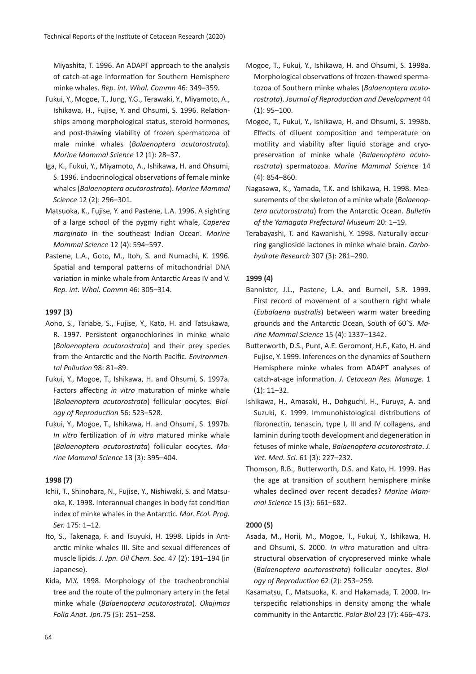Miyashita, T. 1996. An ADAPT approach to the analysis of catch-at-age information for Southern Hemisphere minke whales. *Rep. int. Whal. Commn* 46: 349–359.

- Fukui, Y., Mogoe, T., Jung, Y.G., Terawaki, Y., Miyamoto, A., Ishikawa, H., Fujise, Y. and Ohsumi, S. 1996. Relationships among morphological status, steroid hormones, and post-thawing viability of frozen spermatozoa of male minke whales (*Balaenoptera acutorostrata*). *Marine Mammal Science* 12 (1): 28–37.
- Iga, K., Fukui, Y., Miyamoto, A., Ishikawa, H. and Ohsumi, S. 1996. Endocrinological observations of female minke whales (*Balaenoptera acutorostrata*). *Marine Mammal Science* 12 (2): 296–301.
- Matsuoka, K., Fujise, Y. and Pastene, L.A. 1996. A sighting of a large school of the pygmy right whale, *Caperea marginata* in the southeast Indian Ocean. *Marine Mammal Science* 12 (4): 594–597.
- Pastene, L.A., Goto, M., Itoh, S. and Numachi, K. 1996. Spatial and temporal patterns of mitochondrial DNA variation in minke whale from Antarctic Areas IV and V. *Rep. int. Whal. Commn* 46: 305–314.

# **1997 (3)**

- Aono, S., Tanabe, S., Fujise, Y., Kato, H. and Tatsukawa, R. 1997. Persistent organochlorines in minke whale (*Balaenoptera acutorostrata*) and their prey species from the Antarc�c and the North Pacific. *Environmental Pollution* 98: 81–89.
- Fukui, Y., Mogoe, T., Ishikawa, H. and Ohsumi, S. 1997a. Factors affecting *in vitro* maturation of minke whale (*Balaenoptera acutorostrata*) follicular oocytes. *Biology of Reproduction* 56: 523–528.
- Fukui, Y., Mogoe, T., Ishikawa, H. and Ohsumi, S. 1997b. *In vitro* fertilization of *in vitro* matured minke whale (*Balaenoptera acutorostrata*) follicular oocytes. *Marine Mammal Science* 13 (3): 395–404.

# **1998 (7)**

- Ichii, T., Shinohara, N., Fujise, Y., Nishiwaki, S. and Matsuoka, K. 1998. Interannual changes in body fat condition index of minke whales in the Antarc�c. *Mar. Ecol. Prog. Ser.* 175: 1–12.
- Ito, S., Takenaga, F. and Tsuyuki, H. 1998. Lipids in Antarctic minke whales III. Site and sexual differences of muscle lipids. *J. Jpn. Oil Chem. Soc.* 47 (2): 191–194 (in Japanese).
- Kida, M.Y. 1998. Morphology of the tracheobronchial tree and the route of the pulmonary artery in the fetal minke whale (*Balaenoptera acutorostrata*). *Okajimas Folia Anat. Jpn.*75 (5): 251–258.
- Mogoe, T., Fukui, Y., Ishikawa, H. and Ohsumi, S. 1998a. Morphological observations of frozen-thawed spermatozoa of Southern minke whales (*Balaenoptera acutorostrata*). *Journal of Reproduction and Development* 44 (1): 95–100.
- Mogoe, T., Fukui, Y., Ishikawa, H. and Ohsumi, S. 1998b. Effects of diluent composition and temperature on motility and viability after liquid storage and cryopreservation of minke whale (*Balaenoptera acutorostrata*) spermatozoa. *Marine Mammal Science* 14 (4): 854–860.
- Nagasawa, K., Yamada, T.K. and Ishikawa, H. 1998. Measurements of the skeleton of a minke whale (*Balaenoptera acutorostrata*) from the Antarc�c Ocean. *Bulletin of the Yamagata Prefectural Museum* 20: 1–19.
- Terabayashi, T. and Kawanishi, Y. 1998. Naturally occurring ganglioside lactones in minke whale brain. *Carbohydrate Research* 307 (3): 281–290.

# **1999 (4)**

- Bannister, J.L., Pastene, L.A. and Burnell, S.R. 1999. First record of movement of a southern right whale (*Eubalaena australis*) between warm water breeding grounds and the Antarc�c Ocean, South of 60°S. *Marine Mammal Science* 15 (4): 1337–1342.
- Butterworth, D.S., Punt, A.E. Geromont, H.F., Kato, H. and Fujise, Y. 1999. Inferences on the dynamics of Southern Hemisphere minke whales from ADAPT analyses of catch-at-age information. *J. Cetacean Res. Manage.* 1 (1): 11–32.
- Ishikawa, H., Amasaki, H., Dohguchi, H., Furuya, A. and Suzuki, K. 1999. Immunohistological distributions of fibronectin, tenascin, type I, III and IV collagens, and laminin during tooth development and degeneration in fetuses of minke whale, *Balaenoptera acutorostrata*. *J. Vet. Med. Sci.* 61 (3): 227–232.
- Thomson, R.B., Butterworth, D.S. and Kato, H. 1999. Has the age at transition of southern hemisphere minke whales declined over recent decades? *Marine Mammal Science* 15 (3): 661–682.

# **2000 (5)**

- Asada, M., Horii, M., Mogoe, T., Fukui, Y., Ishikawa, H. and Ohsumi, S. 2000. *In vitro* maturation and ultrastructural observation of cryopreserved minke whale (*Balaenoptera acutorostrata*) follicular oocytes. *Biology of Reproduction* 62 (2): 253–259.
- Kasamatsu, F., Matsuoka, K. and Hakamada, T. 2000. Interspecific relationships in density among the whale community in the Antarc�c. *Polar Biol* 23 (7): 466–473.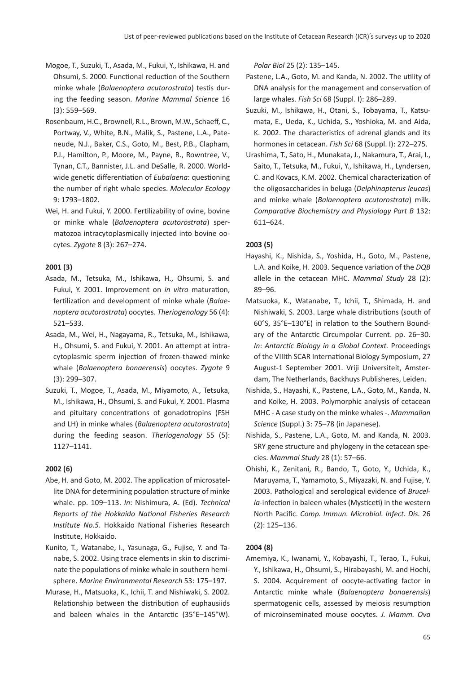- Mogoe, T., Suzuki, T., Asada, M., Fukui, Y., Ishikawa, H. and Ohsumi, S. 2000. Functional reduction of the Southern minke whale (*Balaenoptera acutorostrata*) testis during the feeding season. *Marine Mammal Science* 16 (3): 559–569.
- Rosenbaum, H.C., Brownell, R.L., Brown, M.W., Schaeff, C., Portway, V., White, B.N., Malik, S., Pastene, L.A., Pateneude, N.J., Baker, C.S., Goto, M., Best, P.B., Clapham, P.J., Hamilton, P., Moore, M., Payne, R., Rowntree, V., Tynan, C.T., Bannister, J.L. and DeSalle, R. 2000. Worldwide genetic differentiation of *Eubalaena*: questioning the number of right whale species. *Molecular Ecology* 9: 1793–1802.
- Wei, H. and Fukui, Y. 2000. Fertilizability of ovine, bovine or minke whale (*Balaenoptera acutorostrata*) spermatozoa intracytoplasmically injected into bovine oocytes. *Zygote* 8 (3): 267–274.

# **2001 (3)**

- Asada, M., Tetsuka, M., Ishikawa, H., Ohsumi, S. and Fukui, Y. 2001. Improvement on *in vitro* maturation, fertilization and development of minke whale (*Balaenoptera acutorostrata*) oocytes. *Theriogenology* 56 (4): 521–533.
- Asada, M., Wei, H., Nagayama, R., Tetsuka, M., Ishikawa, H., Ohsumi, S. and Fukui, Y. 2001. An attempt at intracytoplasmic sperm injection of frozen-thawed minke whale (*Balaenoptera bonaerensis*) oocytes. *Zygote* 9 (3): 299–307.
- Suzuki, T., Mogoe, T., Asada, M., Miyamoto, A., Tetsuka, M., Ishikawa, H., Ohsumi, S. and Fukui, Y. 2001. Plasma and pituitary concentrations of gonadotropins (FSH and LH) in minke whales (*Balaenoptera acutorostrata*) during the feeding season. *Theriogenology* 55 (5): 1127–1141.

# **2002 (6)**

- Abe, H. and Goto, M. 2002. The application of microsatellite DNA for determining population structure of minke whale. pp. 109–113. *In*: Nishimura, A. (Ed). *Technical Reports of the Hokkaido National Fisheries Research Institute No.5.* Hokkaido National Fisheries Research Institute, Hokkaido.
- Kunito, T., Watanabe, I., Yasunaga, G., Fujise, Y. and Tanabe, S. 2002. Using trace elements in skin to discriminate the populations of minke whale in southern hemisphere. *Marine Environmental Research* 53: 175–197.
- Murase, H., Matsuoka, K., Ichii, T. and Nishiwaki, S. 2002. Relationship between the distribution of euphausiids and baleen whales in the Antarctic (35°E–145°W).

*Polar Biol* 25 (2): 135–145.

- Pastene, L.A., Goto, M. and Kanda, N. 2002. The utility of DNA analysis for the management and conservation of large whales. *Fish Sci* 68 (Suppl. I): 286–289.
- Suzuki, M., Ishikawa, H., Otani, S., Tobayama, T., Katsumata, E., Ueda, K., Uchida, S., Yoshioka, M. and Aida, K. 2002. The characteristics of adrenal glands and its hormones in cetacean. *Fish Sci* 68 (Suppl. I): 272–275.
- Urashima, T., Sato, H., Munakata, J., Nakamura, T., Arai, I., Saito, T., Tetsuka, M., Fukui, Y., Ishikawa, H., Lyndersen, C. and Kovacs, K.M. 2002. Chemical characterization of the oligosaccharides in beluga (*Delphinapterus leucas*) and minke whale (*Balaenoptera acutorostrata*) milk. *Comparative Biochemistry and Physiology Part B* 132: 611–624.

# **2003 (5)**

- Hayashi, K., Nishida, S., Yoshida, H., Goto, M., Pastene, L.A. and Koike, H. 2003. Sequence variation of the *DQB* allele in the cetacean MHC. *Mammal Study* 28 (2): 89–96.
- Matsuoka, K., Watanabe, T., Ichii, T., Shimada, H. and Nishiwaki, S. 2003. Large whale distributions (south of 60°S, 35°E-130°E) in relation to the Southern Boundary of the Antarctic Circumpolar Current. pp. 26-30. *In*: *Antarctic Biology in a Global Context.* Proceedings of the VIIIth SCAR International Biology Symposium, 27 August-1 September 2001. Vriji Universiteit, Amsterdam, The Netherlands, Backhuys Publisheres, Leiden.
- Nishida, S., Hayashi, K., Pastene, L.A., Goto, M., Kanda, N. and Koike, H. 2003. Polymorphic analysis of cetacean MHC - A case study on the minke whales -. *Mammalian Science* (Suppl.) 3: 75–78 (in Japanese).
- Nishida, S., Pastene, L.A., Goto, M. and Kanda, N. 2003. SRY gene structure and phylogeny in the cetacean species. *Mammal Study* 28 (1): 57–66.
- Ohishi, K., Zenitani, R., Bando, T., Goto, Y., Uchida, K., Maruyama, T., Yamamoto, S., Miyazaki, N. and Fujise, Y. 2003. Pathological and serological evidence of *Brucella*-infection in baleen whales (Mysticeti) in the western North Pacific. *Comp. Immun. Microbiol. Infect. Dis.* 26 (2): 125–136.

# **2004 (8)**

Amemiya, K., Iwanami, Y., Kobayashi, T., Terao, T., Fukui, Y., Ishikawa, H., Ohsumi, S., Hirabayashi, M. and Hochi, S. 2004. Acquirement of oocyte-activating factor in Antarc�c minke whale (*Balaenoptera bonaerensis*) spermatogenic cells, assessed by meiosis resumption of microinseminated mouse oocytes. *J. Mamm. Ova*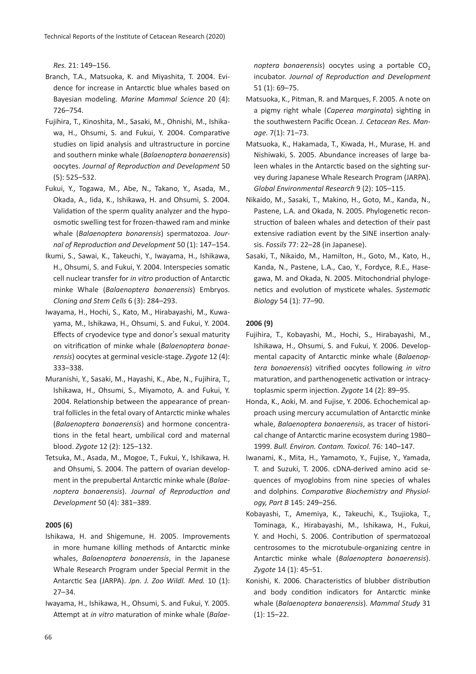*Res.* 21: 149–156.

- Branch, T.A., Matsuoka, K. and Miyashita, T. 2004. Evidence for increase in Antarc�c blue whales based on Bayesian modeling. *Marine Mammal Science* 20 (4): 726–754.
- Fujihira, T., Kinoshita, M., Sasaki, M., Ohnishi, M., Ishikawa, H., Ohsumi, S. and Fukui, Y. 2004. Comparative studies on lipid analysis and ultrastructure in porcine and southern minke whale (*Balaenoptera bonaerensis*) oocytes. *Journal of Reproduction and Development* 50 (5): 525–532.
- Fukui, Y., Togawa, M., Abe, N., Takano, Y., Asada, M., Okada, A., Iida, K., Ishikawa, H. and Ohsumi, S. 2004. Validation of the sperm quality analyzer and the hypoosmotic swelling test for frozen-thawed ram and minke whale (*Balaenoptera bonarensis*) spermatozoa. *Journal of Reproduction and Development* 50 (1): 147–154.
- Ikumi, S., Sawai, K., Takeuchi, Y., Iwayama, H., Ishikawa, H., Ohsumi, S. and Fukui, Y. 2004. Interspecies somatic cell nuclear transfer for *in vitro* production of Antarctic minke Whale (*Balaenoptera bonaerensis*) Embryos. *Cloning and Stem Cells* 6 (3): 284–293.
- Iwayama, H., Hochi, S., Kato, M., Hirabayashi, M., Kuwayama, M., Ishikawa, H., Ohsumi, S. and Fukui, Y. 2004. Effects of cryodevice type and donor's sexual maturity on vitrification of minke whale (*Balaenoptera bonaerensis*) oocytes at germinal vesicle-stage. *Zygote* 12 (4): 333–338.
- Muranishi, Y., Sasaki, M., Hayashi, K., Abe, N., Fujihira, T., Ishikawa, H., Ohsumi, S., Miyamoto, A. and Fukui, Y. 2004. Relationship between the appearance of preantral follicles in the fetal ovary of Antarctic minke whales (*Balaenoptera bonaerensis*) and hormone concentra tions in the fetal heart, umbilical cord and maternal blood. *Zygote* 12 (2): 125–132.
- Tetsuka, M., Asada, M., Mogoe, T., Fukui, Y., Ishikawa, H. and Ohsumi, S. 2004. The pattern of ovarian development in the prepubertal Antarc�c minke whale (*Balaenoptera bonaerensis*). *Journal of Reproduction and Development* 50 (4): 381–389.

#### **2005 (6)**

- Ishikawa, H. and Shigemune, H. 2005. Improvements in more humane killing methods of Antarctic minke whales, *Balaenoptera bonaerensis*, in the Japanese Whale Research Program under Special Permit in the Antarc�c Sea (JARPA). *Jpn. J. Zoo Wildl. Med.* 10 (1): 27–34.
- Iwayama, H., Ishikawa, H., Ohsumi, S. and Fukui, Y. 2005. Attempt at *in vitro* maturation of minke whale (*Balae*-

*noptera bonaerensis*) oocytes using a portable CO<sub>2</sub> incubator. *Journal of Reproduction and Development* 51 (1): 69–75.

- Matsuoka, K., Pitman, R. and Marques, F. 2005. A note on a pigmy right whale (*Caperea marginata*) sighting in the southwestern Pacific Ocean. *J. Cetacean Res. Manage.* 7(1): 71–73.
- Matsuoka, K., Hakamada, T., Kiwada, H., Murase, H. and Nishiwaki, S. 2005. Abundance increases of large baleen whales in the Antarctic based on the sighting survey during Japanese Whale Research Program (JARPA). *Global Environmental Research* 9 (2): 105–115.
- Nikaido, M., Sasaki, T., Makino, H., Goto, M., Kanda, N., Pastene, L.A. and Okada, N. 2005. Phylogenetic reconstruction of baleen whales and detection of their past extensive radiation event by the SINE insertion analysis. *Fossils* 77: 22–28 (in Japanese).
- Sasaki, T., Nikaido, M., Hamilton, H., Goto, M., Kato, H., Kanda, N., Pastene, L.A., Cao, Y., Fordyce, R.E., Hasegawa, M. and Okada, N. 2005. Mitochondrial phylogenetics and evolution of mysticete whales. Systematic *Biology* 54 (1): 77–90.

### **2006 (9)**

- Fujihira, T., Kobayashi, M., Hochi, S., Hirabayashi, M., Ishikawa, H., Ohsumi, S. and Fukui, Y. 2006. Developmental capacity of Antarc�c minke whale (*Balaenoptera bonaerensis*) vitrified oocytes following *in vitro* maturation, and parthenogenetic activation or intracytoplasmic sperm injection. Zygote 14 (2): 89-95.
- Honda, K., Aoki, M. and Fujise, Y. 2006. Echochemical approach using mercury accumulation of Antarctic minke whale, *Balaenoptera bonaerensis*, as tracer of historical change of Antarctic marine ecosystem during 1980-1999. *Bull. Environ. Contam. Toxicol.* 76: 140–147.
- Iwanami, K., Mita, H., Yamamoto, Y., Fujise, Y., Yamada, T. and Suzuki, T. 2006. cDNA-derived amino acid sequences of myoglobins from nine species of whales and dolphins. *Comparative Biochemistry and Physiology, Part B* 145: 249–256.
- Kobayashi, T., Amemiya, K., Takeuchi, K., Tsujioka, T., Tominaga, K., Hirabayashi, M., Ishikawa, H., Fukui, Y. and Hochi, S. 2006. Contribution of spermatozoal centrosomes to the microtubule-organizing centre in Antarc�c minke whale (*Balaenoptera bonaerensis*). *Zygote* 14 (1): 45–51.
- Konishi, K. 2006. Characteristics of blubber distribution and body condition indicators for Antarctic minke whale (*Balaenoptera bonaerensis*). *Mammal Study* 31 (1): 15–22.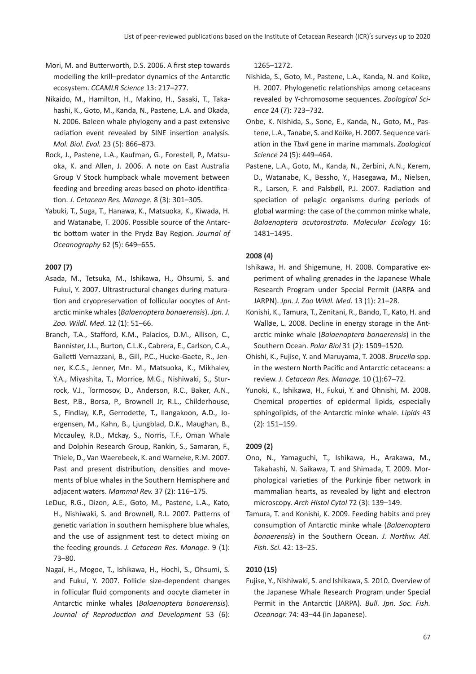- Mori, M. and Bu�erworth, D.S. 2006. A first step towards modelling the krill–predator dynamics of the Antarctic ecosystem. *CCAMLR Science* 13: 217–277.
- Nikaido, M., Hamilton, H., Makino, H., Sasaki, T., Takahashi, K., Goto, M., Kanda, N., Pastene, L.A. and Okada, N. 2006. Baleen whale phylogeny and a past extensive radiation event revealed by SINE insertion analysis. *Mol. Biol. Evol.* 23 (5): 866–873.
- Rock, J., Pastene, L.A., Kaufman, G., Forestell, P., Matsuoka, K. and Allen, J. 2006. A note on East Australia Group V Stock humpback whale movement between feeding and breeding areas based on photo-identifica-�on. *J. Cetacean Res. Manage.* 8 (3): 301–305.
- Yabuki, T., Suga, T., Hanawa, K., Matsuoka, K., Kiwada, H. and Watanabe, T. 2006. Possible source of the Antarc tic bottom water in the Prydz Bay Region. *Journal of Oceanography* 62 (5): 649–655.

# **2007 (7)**

- Asada, M., Tetsuka, M., Ishikawa, H., Ohsumi, S. and Fukui, Y. 2007. Ultrastructural changes during matura tion and cryopreservation of follicular oocytes of Antarc�c minke whales (*Balaenoptera bonaerensis*). *Jpn. J. Zoo. Wildl. Med.* 12 (1): 51–66.
- Branch, T.A., Stafford, K.M., Palacios, D.M., Allison, C., Bannister, J.L., Burton, C.L.K., Cabrera, E., Carlson, C.A., Galletti Vernazzani, B., Gill, P.C., Hucke-Gaete, R., Jenner, K.C.S., Jenner, Mn. M., Matsuoka, K., Mikhalev, Y.A., Miyashita, T., Morrice, M.G., Nishiwaki, S., Sturrock, V.J., Tormosov, D., Anderson, R.C., Baker, A.N., Best, P.B., Borsa, P., Brownell Jr, R.L., Childerhouse, S., Findlay, K.P., Gerrodette, T., Ilangakoon, A.D., Joergensen, M., Kahn, B., Ljungblad, D.K., Maughan, B., Mccauley, R.D., Mckay, S., Norris, T.F., Oman Whale and Dolphin Research Group, Rankin, S., Samaran, F., Thiele, D., Van Waerebeek, K. and Warneke, R.M. 2007. Past and present distribution, densities and movements of blue whales in the Southern Hemisphere and adjacent waters. *Mammal Rev.* 37 (2): 116–175.
- LeDuc, R.G., Dizon, A.E., Goto, M., Pastene, L.A., Kato, H., Nishiwaki, S. and Brownell, R.L. 2007. Patterns of genetic variation in southern hemisphere blue whales, and the use of assignment test to detect mixing on the feeding grounds. *J. Cetacean Res. Manage.* 9 (1): 73–80.
- Nagai, H., Mogoe, T., Ishikawa, H., Hochi, S., Ohsumi, S. and Fukui, Y. 2007. Follicle size-dependent changes in follicular fluid components and oocyte diameter in Antarc�c minke whales (*Balaenoptera bonaerensis*). *Journal of Reproduction and Development* 53 (6):

1265–1272.

- Nishida, S., Goto, M., Pastene, L.A., Kanda, N. and Koike, H. 2007. Phylogenetic relationships among cetaceans revealed by Y-chromosome sequences.*Zoological Science* 24 (7): 723–732.
- Onbe, K. Nishida, S., Sone, E., Kanda, N., Goto, M., Pastene, L.A., Tanabe, S. and Koike, H. 2007. Sequence varia�on in the *Tbx4* gene in marine mammals.*Zoological Science* 24 (5): 449–464.
- Pastene, L.A., Goto, M., Kanda, N., Zerbini, A.N., Kerem, D., Watanabe, K., Bessho, Y., Hasegawa, M., Nielsen, R., Larsen, F. and Palsbøll, P.J. 2007. Radiation and speciation of pelagic organisms during periods of global warming: the case of the common minke whale, *Balaenoptera acutorostrata. Molecular Ecology* 16: 1481–1495.

# **2008 (4)**

- Ishikawa, H. and Shigemune, H. 2008. Comparative experiment of whaling grenades in the Japanese Whale Research Program under Special Permit (JARPA and JARPN). *Jpn. J. Zoo Wildl. Med.* 13 (1): 21–28.
- Konishi, K., Tamura, T., Zenitani, R., Bando, T., Kato, H. and Walløe, L. 2008. Decline in energy storage in the Antarc�c minke whale (*Balaenoptera bonaerensis*) in the Southern Ocean. *Polar Biol* 31 (2): 1509–1520.
- Ohishi, K., Fujise, Y. and Maruyama, T. 2008. *Brucella* spp. in the western North Pacific and Antarctic cetaceans: a review. *J. Cetacean Res. Manage.* 10 (1):67–72.
- Yunoki, K., Ishikawa, H., Fukui, Y. and Ohnishi, M. 2008. Chemical properties of epidermal lipids, especially sphingolipids, of the Antarc�c minke whale. *Lipids* 43 (2): 151–159.

# **2009 (2)**

- Ono, N., Yamaguchi, T., Ishikawa, H., Arakawa, M., Takahashi, N. Saikawa, T. and Shimada, T. 2009. Morphological varie�es of the Purkinje fiber network in mammalian hearts, as revealed by light and electron microscopy. *Arch Histol Cytol* 72 (3): 139–149.
- Tamura, T. and Konishi, K. 2009. Feeding habits and prey consumption of Antarctic minke whale (*Balaenoptera bonaerensis*) in the Southern Ocean. *J. Northw. Atl. Fish. Sci.* 42: 13–25.

# **2010 (15)**

Fujise, Y., Nishiwaki, S. and Ishikawa, S. 2010. Overview of the Japanese Whale Research Program under Special Permit in the Antarc�c (JARPA). *Bull. Jpn. Soc. Fish. Oceanogr.* 74: 43–44 (in Japanese).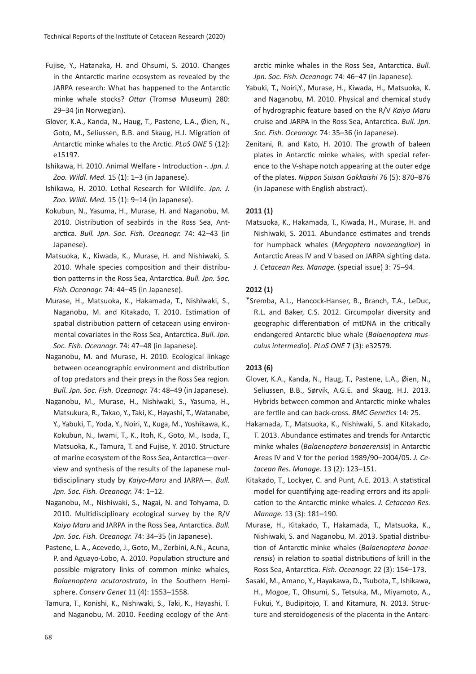- Fujise, Y., Hatanaka, H. and Ohsumi, S. 2010. Changes in the Antarctic marine ecosystem as revealed by the JARPA research: What has happened to the Antarctic minke whale stocks? *Ottar* (Tromsø Museum) 280: 29–34 (in Norwegian).
- Glover, K.A., Kanda, N., Haug, T., Pastene, L.A., Øien, N., Goto, M., Seliussen, B.B. and Skaug, H.J. Migration of Antarc�c minke whales to the Arc�c. *PLoS ONE* 5 (12): e15197.
- Ishikawa, H. 2010. Animal Welfare Introduction -. *Jpn. J. Zoo. Wildl. Med.* 15 (1): 1–3 (in Japanese).
- Ishikawa, H. 2010. Lethal Research for Wildlife. *Jpn. J. Zoo. Wildl. Med.* 15 (1): 9–14 (in Japanese).
- Kokubun, N., Yasuma, H., Murase, H. and Naganobu, M. 2010. Distribution of seabirds in the Ross Sea, Antarc�ca. *Bull. Jpn. Soc. Fish. Oceanogr.* 74: 42–43 (in Japanese).
- Matsuoka, K., Kiwada, K., Murase, H. and Nishiwaki, S. 2010. Whale species composition and their distribu-�on pa�erns in the Ross Sea, Antarc�ca. *Bull. Jpn. Soc. Fish. Oceanogr.* 74: 44–45 (in Japanese).
- Murase, H., Matsuoka, K., Hakamada, T., Nishiwaki, S., Naganobu, M. and Kitakado, T. 2010. Estimation of spatial distribution pattern of cetacean using environmental covariates in the Ross Sea, Antarctica. *Bull. Jpn. Soc. Fish. Oceanogr.* 74: 47–48 (in Japanese).
- Naganobu, M. and Murase, H. 2010. Ecological linkage between oceanographic environment and distribution of top predators and their preys in the Ross Sea region. *Bull. Jpn. Soc. Fish. Oceanogr.* 74: 48–49 (in Japanese).
- Naganobu, M., Murase, H., Nishiwaki, S., Yasuma, H., Matsukura, R., Takao, Y., Taki, K., Hayashi, T., Watanabe, Y., Yabuki, T., Yoda, Y., Noiri, Y., Kuga, M., Yoshikawa, K., Kokubun, N., Iwami, T., K., Itoh, K., Goto, M., Isoda, T., Matsuoka, K., Tamura, T. and Fujise, Y. 2010. Structure of marine ecosystem of the Ross Sea, Antarctica-overview and synthesis of the results of the Japanese mul- �disciplinary study by *Kaiyo-Maru* and JARPA—. *Bull. Jpn. Soc. Fish. Oceanogr.* 74: 1–12.
- Naganobu, M., Nishiwaki, S., Nagai, N. and Tohyama, D. 2010. Multidisciplinary ecological survey by the R/V *Kaiyo Maru* and JARPA in the Ross Sea, Antarctica. *Bull. Jpn. Soc. Fish. Oceanogr.* 74: 34–35 (in Japanese).
- Pastene, L. A., Acevedo, J., Goto, M., Zerbini, A.N., Acuna, P. and Aguayo-Lobo, A. 2010. Population structure and possible migratory links of common minke whales, *Balaenoptera acutorostrata*, in the Southern Hemisphere. *Conserv Genet* 11 (4): 1553–1558.
- Tamura, T., Konishi, K., Nishiwaki, S., Taki, K., Hayashi, T. and Naganobu, M. 2010. Feeding ecology of the Ant-

arctic minke whales in the Ross Sea. Antarctica. *Bull. Jpn. Soc. Fish. Oceanogr.* 74: 46–47 (in Japanese).

- Yabuki, T., Noiri,Y., Murase, H., Kiwada, H., Matsuoka, K. and Naganobu, M. 2010. Physical and chemical study of hydrographic feature based on the R/V *Kaiyo Maru* cruise and JARPA in the Ross Sea, Antarctica. *Bull. Jpn. Soc. Fish. Oceanogr.* 74: 35–36 (in Japanese).
- Zenitani, R. and Kato, H. 2010. The growth of baleen plates in Antarc�c minke whales, with special reference to the V-shape notch appearing at the outer edge of the plates. *Nippon Suisan Gakkaishi* 76 (5): 870–876 (in Japanese with English abstract).

# **2011 (1)**

Matsuoka, K., Hakamada, T., Kiwada, H., Murase, H. and Nishiwaki, S. 2011. Abundance estimates and trends for humpback whales (*Megaptera novaeangliae*) in Antarctic Areas IV and V based on JARPA sighting data. *J. Cetacean Res. Manage.* (special issue) 3: 75–94.

# **2012 (1)**

\*Sremba, A.L., Hancock-Hanser, B., Branch, T.A., LeDuc, R.L. and Baker, C.S. 2012. Circumpolar diversity and geographic differentiation of mtDNA in the critically endangered Antarc�c blue whale (*Balaenoptera musculus intermedia*). *PLoS ONE* 7 (3): e32579.

# **2013 (6)**

- Glover, K.A., Kanda, N., Haug, T., Pastene, L.A., Øien, N., Seliussen, B.B., Sørvik, A.G.E. and Skaug, H.J. 2013. Hybrids between common and Antarctic minke whales are fer�le and can back-cross. *BMC Genetics* 14: 25.
- Hakamada, T., Matsuoka, K., Nishiwaki, S. and Kitakado, T. 2013. Abundance estimates and trends for Antarctic minke whales (*Balaenoptera bonaerensis*) in Antarc�c Areas IV and V for the period 1989/90–2004/05. *J. Cetacean Res. Manage.* 13 (2): 123–151.
- Kitakado, T., Lockyer, C. and Punt, A.E. 2013. A statistical model for quan�fying age-reading errors and its application to the Antarctic minke whales. *J. Cetacean Res. Manage.* 13 (3): 181–190.
- Murase, H., Kitakado, T., Hakamada, T., Matsuoka, K., Nishiwaki, S. and Naganobu, M. 2013. Spatial distribu-�on of Antarc�c minke whales (*Balaenoptera bonaerensis*) in relation to spatial distributions of krill in the Ross Sea, Antarc�ca. *Fish. Oceanogr.* 22 (3): 154–173.
- Sasaki, M., Amano, Y., Hayakawa, D., Tsubota, T., Ishikawa, H., Mogoe, T., Ohsumi, S., Tetsuka, M., Miyamoto, A., Fukui, Y., Budipitojo, T. and Kitamura, N. 2013. Structure and steroidogenesis of the placenta in the Antarc-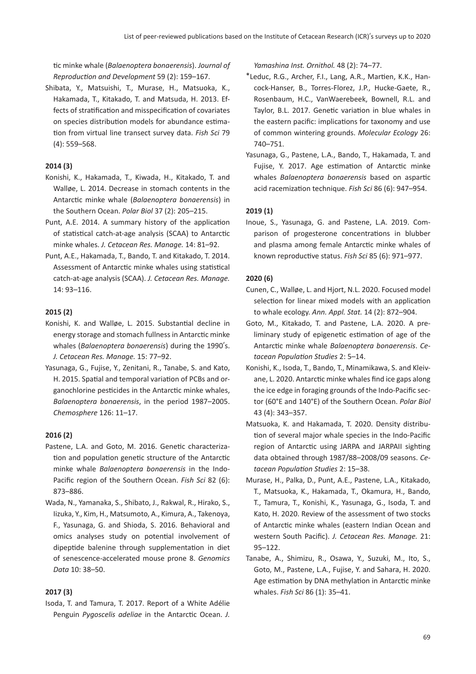�c minke whale (*Balaenoptera bonaerensis*). *Journal of Reproduction and Development* 59 (2): 159–167.

Shibata, Y., Matsuishi, T., Murase, H., Matsuoka, K., Hakamada, T., Kitakado, T. and Matsuda, H. 2013. Effects of stratification and misspecification of covariates on species distribution models for abundance estima-�on from virtual line transect survey data. *Fish Sci* 79 (4): 559–568.

# **2014 (3)**

- Konishi, K., Hakamada, T., Kiwada, H., Kitakado, T. and Walløe, L. 2014. Decrease in stomach contents in the Antarc�c minke whale (*Balaenoptera bonaerensis*) in the Southern Ocean. *Polar Biol* 37 (2): 205–215.
- Punt, A.E. 2014. A summary history of the application of statistical catch-at-age analysis (SCAA) to Antarctic minke whales. *J. Cetacean Res. Manage.* 14: 81–92.
- Punt, A.E., Hakamada, T., Bando, T. and Kitakado, T. 2014. Assessment of Antarctic minke whales using statistical catch-at-age analysis (SCAA). *J. Cetacean Res. Manage.* 14: 93–116.

# **2015 (2)**

- Konishi, K. and Walløe, L. 2015. Substantial decline in energy storage and stomach fullness in Antarctic minke whales (*Balaenoptera bonaerensis*) during the 1990's. *J. Cetacean Res. Manage.* 15: 77–92.
- Yasunaga, G., Fujise, Y., Zenitani, R., Tanabe, S. and Kato, H. 2015. Spatial and temporal variation of PCBs and organochlorine pesticides in the Antarctic minke whales, *Balaenoptera bonaerensis*, in the period 1987–2005. *Chemosphere* 126: 11–17.

# **2016 (2)**

- Pastene, L.A. and Goto, M. 2016. Genetic characterization and population genetic structure of the Antarctic minke whale *Balaenoptera bonaerensis* in the Indo-Pacific region of the Southern Ocean. *Fish Sci* 82 (6): 873–886.
- Wada, N., Yamanaka, S., Shibato, J., Rakwal, R., Hirako, S., Iizuka, Y., Kim, H., Matsumoto, A., Kimura, A., Takenoya, F., Yasunaga, G. and Shioda, S. 2016. Behavioral and omics analyses study on potential involvement of dipeptide balenine through supplementation in diet of senescence-accelerated mouse prone 8. *Genomics Data* 10: 38–50.

# **2017 (3)**

Isoda, T. and Tamura, T. 2017. Report of a White Adélie Penguin *Pygoscelis adeliae* in the Antarctic Ocean. *J.* 

*Yamashina Inst. Ornithol.* 48 (2): 74–77.

- \*Leduc, R.G., Archer, F.I., Lang, A.R., Mar�en, K.K., Hancock-Hanser, B., Torres-Florez, J.P., Hucke-Gaete, R., Rosenbaum, H.C., VanWaerebeek, Bownell, R.L. and Taylor, B.L. 2017. Genetic variation in blue whales in the eastern pacific: implications for taxonomy and use of common wintering grounds. *Molecular Ecology* 26: 740–751.
- Yasunaga, G., Pastene, L.A., Bando, T., Hakamada, T. and Fujise, Y. 2017. Age estimation of Antarctic minke whales *Balaenoptera bonaerensis* based on aspar�c acid racemization technique. *Fish Sci* 86 (6): 947-954.

# **2019 (1)**

Inoue, S., Yasunaga, G. and Pastene, L.A. 2019. Comparison of progesterone concentrations in blubber and plasma among female Antarc�c minke whales of known reproductive status. Fish Sci 85 (6): 971-977.

# **2020 (6)**

- Cunen, C., Walløe, L. and Hjort, N.L. 2020. Focused model selection for linear mixed models with an application to whale ecology. *Ann. Appl. Stat.* 14 (2): 872–904.
- Goto, M., Kitakado, T. and Pastene, L.A. 2020. A preliminary study of epigenetic estimation of age of the Antarc�c minke whale *Balaenoptera bonaerensis*. *Cetacean Population Studies* 2: 5–14.
- Konishi, K., Isoda, T., Bando, T., Minamikawa, S. and Kleivane, L. 2020. Antarctic minke whales find ice gaps along the ice edge in foraging grounds of the Indo-Pacific sector (60°E and 140°E) of the Southern Ocean. *Polar Biol* 43 (4): 343–357.
- Matsuoka, K. and Hakamada, T. 2020. Density distribu tion of several major whale species in the Indo-Pacific region of Antarctic using JARPA and JARPAII sighting data obtained through 1987/88–2008/09 seasons. *Cetacean Population Studies* 2: 15–38.
- Murase, H., Palka, D., Punt, A.E., Pastene, L.A., Kitakado, T., Matsuoka, K., Hakamada, T., Okamura, H., Bando, T., Tamura, T., Konishi, K., Yasunaga, G., Isoda, T. and Kato, H. 2020. Review of the assessment of two stocks of Antarctic minke whales (eastern Indian Ocean and western South Pacific). *J. Cetacean Res. Manage.* 21: 95–122.
- Tanabe, A., Shimizu, R., Osawa, Y., Suzuki, M., Ito, S., Goto, M., Pastene, L.A., Fujise, Y. and Sahara, H. 2020. Age estimation by DNA methylation in Antarctic minke whales. *Fish Sci* 86 (1): 35–41.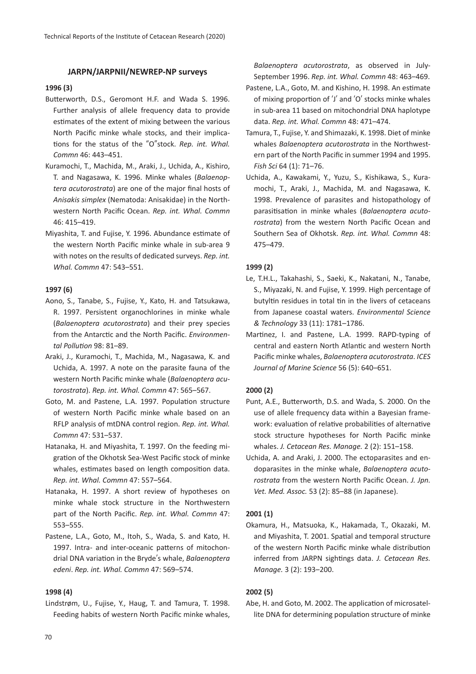# **JARPN/JARPNII/NEWREP-NP surveys**

# **1996 (3)**

- Butterworth, D.S., Geromont H.F. and Wada S. 1996. Further analysis of allele frequency data to provide estimates of the extent of mixing between the various North Pacific minke whale stocks, and their implica tions for the status of the "O"stock. *Rep. int. Whal. Commn* 46: 443–451.
- Kuramochi, T., Machida, M., Araki, J., Uchida, A., Kishiro, T. and Nagasawa, K. 1996. Minke whales (*Balaenoptera acutorostrata*) are one of the major final hosts of *Anisakis simplex* (Nematoda: Anisakidae) in the Northwestern North Pacific Ocean. *Rep. int. Whal. Commn* 46: 415–419.
- Miyashita, T. and Fujise, Y. 1996. Abundance estimate of the western North Pacific minke whale in sub-area 9 with notes on the results of dedicated surveys. *Rep. int. Whal. Commn* 47: 543–551.

### **1997 (6)**

- Aono, S., Tanabe, S., Fujise, Y., Kato, H. and Tatsukawa, R. 1997. Persistent organochlorines in minke whale (*Balaenoptera acutorostrata*) and their prey species from the Antarc�c and the North Pacific. *Environmental Pollution* 98: 81–89.
- Araki, J., Kuramochi, T., Machida, M., Nagasawa, K. and Uchida, A. 1997. A note on the parasite fauna of the western North Pacific minke whale (*Balaenoptera acutorostrata*). *Rep. int. Whal. Commn* 47: 565–567.
- Goto, M. and Pastene, L.A. 1997. Population structure of western North Pacific minke whale based on an RFLP analysis of mtDNA control region. *Rep. int. Whal. Commn* 47: 531–537.
- Hatanaka, H. and Miyashita, T. 1997. On the feeding migration of the Okhotsk Sea-West Pacific stock of minke whales, estimates based on length composition data. *Rep. int. Whal. Commn* 47: 557–564.
- Hatanaka, H. 1997. A short review of hypotheses on minke whale stock structure in the Northwestern part of the North Pacific. *Rep. int. Whal. Commn* 47: 553–555.
- Pastene, L.A., Goto, M., Itoh, S., Wada, S. and Kato, H. 1997. Intra- and inter-oceanic patterns of mitochondrial DNA varia�on in the Bryde's whale, *Balaenoptera edeni*. *Rep. int. Whal. Commn* 47: 569–574.

# **1998 (4)**

Lindstrøm, U., Fujise, Y., Haug, T. and Tamura, T. 1998. Feeding habits of western North Pacific minke whales, *Balaenoptera acutorostrata*, as observed in July-September 1996. *Rep. int. Whal. Commn* 48: 463–469.

- Pastene, L.A., Goto, M. and Kishino, H. 1998. An estimate of mixing proportion of  $'$ J' and  $'$ O' stocks minke whales in sub-area 11 based on mitochondrial DNA haplotype data. *Rep. int. Whal. Commn* 48: 471–474.
- Tamura, T., Fujise, Y. and Shimazaki, K. 1998. Diet of minke whales *Balaenoptera acutorostrata* in the Northwestern part of the North Pacific in summer 1994 and 1995. *Fish Sci* 64 (1): 71–76.
- Uchida, A., Kawakami, Y., Yuzu, S., Kishikawa, S., Kuramochi, T., Araki, J., Machida, M. and Nagasawa, K. 1998. Prevalence of parasites and histopathology of parasitisation in minke whales (Balaenoptera acuto*rostrata*) from the western North Pacific Ocean and Southern Sea of Okhotsk. *Rep. int. Whal. Commn* 48: 475–479.

#### **1999 (2)**

- Le, T.H.L., Takahashi, S., Saeki, K., Nakatani, N., Tanabe, S., Miyazaki, N. and Fujise, Y. 1999. High percentage of butyltin residues in total tin in the livers of cetaceans from Japanese coastal waters. *Environmental Science & Technology* 33 (11): 1781–1786.
- Martinez, I. and Pastene, L.A. 1999. RAPD-typing of central and eastern North Atlan�c and western North Pacific minke whales, *Balaenoptera acutorostrata*. *ICES Journal of Marine Science* 56 (5): 640–651.

#### **2000 (2)**

- Punt, A.E., Butterworth, D.S. and Wada, S. 2000. On the use of allele frequency data within a Bayesian framework: evaluation of relative probabilities of alternative stock structure hypotheses for North Pacific minke whales. *J. Cetacean Res. Manage.* 2 (2): 151–158.
- Uchida, A. and Araki, J. 2000. The ectoparasites and endoparasites in the minke whale, *Balaenoptera acutorostrata* from the western North Pacific Ocean. *J. Jpn. Vet. Med. Assoc.* 53 (2): 85–88 (in Japanese).

#### **2001 (1)**

Okamura, H., Matsuoka, K., Hakamada, T., Okazaki, M. and Miyashita, T. 2001. Spatial and temporal structure of the western North Pacific minke whale distribution inferred from JARPN sightings data. *J. Cetacean Res. Manage.* 3 (2): 193–200.

# **2002 (5)**

Abe, H. and Goto, M. 2002. The application of microsatellite DNA for determining population structure of minke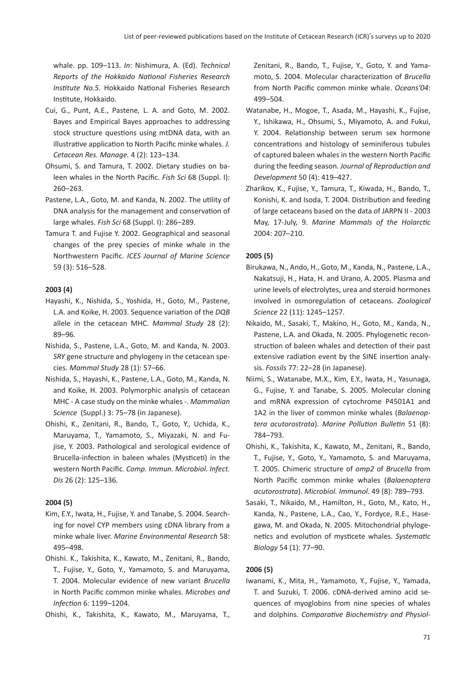whale. pp. 109–113. *In*: Nishimura, A. (Ed). *Technical Reports of the Hokkaido National Fisheries Research Institute No.5*. Hokkaido National Fisheries Research Institute, Hokkaido.

- Cui, G., Punt, A.E., Pastene, L. A. and Goto, M. 2002. Bayes and Empirical Bayes approaches to addressing stock structure questions using mtDNA data, with an illustrative application to North Pacific minke whales. *J. Cetacean Res. Manage.* 4 (2): 123–134.
- Ohsumi, S. and Tamura, T. 2002. Dietary studies on baleen whales in the North Pacific. *Fish Sci* 68 (Suppl. I): 260–263.
- Pastene, L.A., Goto, M. and Kanda, N. 2002. The utility of DNA analysis for the management and conservation of large whales. *Fish Sci* 68 (Suppl. I): 286–289.
- Tamura T. and Fujise Y. 2002. Geographical and seasonal changes of the prey species of minke whale in the Northwestern Pacific. *ICES Journal of Marine Science* 59 (3): 516–528.

# **2003 (4)**

- Hayashi, K., Nishida, S., Yoshida, H., Goto, M., Pastene, L.A. and Koike, H. 2003. Sequence variation of the *DQB* allele in the cetacean MHC. *Mammal Study* 28 (2): 89–96.
- Nishida, S., Pastene, L.A., Goto, M. and Kanda, N. 2003. *SRY* gene structure and phylogeny in the cetacean species. *Mammal Study* 28 (1): 57–66.
- Nishida, S., Hayashi, K., Pastene, L.A., Goto, M., Kanda, N. and Koike, H. 2003. Polymorphic analysis of cetacean MHC - A case study on the minke whales -. *Mammalian Science* (Suppl.) 3: 75–78 (in Japanese).
- Ohishi, K., Zenitani, R., Bando, T., Goto, Y., Uchida, K., Maruyama, T., Yamamoto, S., Miyazaki, N. and Fujise, Y. 2003. Pathological and serological evidence of Brucella-infection in baleen whales (Mysticeti) in the western North Pacific. *Comp. Immun. Microbiol. Infect. Dis* 26 (2): 125–136.

### **2004 (5)**

Kim, E.Y., Iwata, H., Fujise, Y. and Tanabe, S. 2004. Searching for novel CYP members using cDNA library from a minke whale liver. *Marine Environmental Research* 58: 495–498.

Ohishi. K., Takishita, K., Kawato, M., Zenitani, R., Bando, T., Fujise, Y., Goto, Y., Yamamoto, S. and Maruyama, T. 2004. Molecular evidence of new variant *Brucella* in North Pacific common minke whales. *Microbes and Infection* 6: 1199–1204.

Ohishi, K., Takishita, K., Kawato, M., Maruyama, T.,

Zenitani, R., Bando, T., Fujise, Y., Goto, Y. and Yamamoto, S. 2004. Molecular characterization of *Brucella* from North Pacific common minke whale. *Oceans'04*: 499–504.

- Watanabe, H., Mogoe, T., Asada, M., Hayashi, K., Fujise, Y., Ishikawa, H., Ohsumi, S., Miyamoto, A. and Fukui, Y. 2004. Relationship between serum sex hormone concentrations and histology of seminiferous tubules of captured baleen whales in the western North Pacific during the feeding season. *Journal of Reproduction and Development* 50 (4): 419–427.
- Zharikov, K., Fujise, Y., Tamura, T., Kiwada, H., Bando, T., Konishi, K. and Isoda, T. 2004. Distribution and feeding of large cetaceans based on the data of JARPN II - 2003 May, 17-July, 9. *Marine Mammals of the Holarctic* 2004: 207–210.

#### **2005 (5)**

- Birukawa, N., Ando, H., Goto, M., Kanda, N., Pastene, L.A., Nakatsuji, H., Hata, H. and Urano, A. 2005. Plasma and urine levels of electrolytes, urea and steroid hormones involved in osmoregulation of cetaceans. *Zoological Science* 22 (11): 1245–1257.
- Nikaido, M., Sasaki, T., Makino, H., Goto, M., Kanda, N., Pastene, L.A. and Okada, N. 2005. Phylogenetic reconstruction of baleen whales and detection of their past extensive radiation event by the SINE insertion analysis. *Fossils* 77: 22–28 (in Japanese).
- Niimi, S., Watanabe, M.X., Kim, E.Y., Iwata, H., Yasunaga, G., Fujise, Y. and Tanabe, S. 2005. Molecular cloning and mRNA expression of cytochrome P4501A1 and 1A2 in the liver of common minke whales (*Balaenoptera acutorostrata*). *Marine Pollution Bulletin* 51 (8): 784–793.
- Ohishi, K., Takishita, K., Kawato, M., Zenitani, R., Bando, T., Fujise, Y., Goto, Y., Yamamoto, S. and Maruyama, T. 2005. Chimeric structure of *omp2* of *Brucella* from North Pacific common minke whales (*Balaenoptera acutorostrata*). *Microbiol. Immunol.* 49 (8): 789–793.
- Sasaki, T., Nikaido, M., Hamilton, H., Goto, M., Kato, H., Kanda, N., Pastene, L.A., Cao, Y., Fordyce, R.E., Hasegawa, M. and Okada, N. 2005. Mitochondrial phylogenetics and evolution of mysticete whales. Systematic *Biology* 54 (1): 77–90.

#### **2006 (5)**

Iwanami, K., Mita, H., Yamamoto, Y., Fujise, Y., Yamada, T. and Suzuki, T. 2006. cDNA-derived amino acid sequences of myoglobins from nine species of whales and dolphins. *Comparative Biochemistry and Physiol-*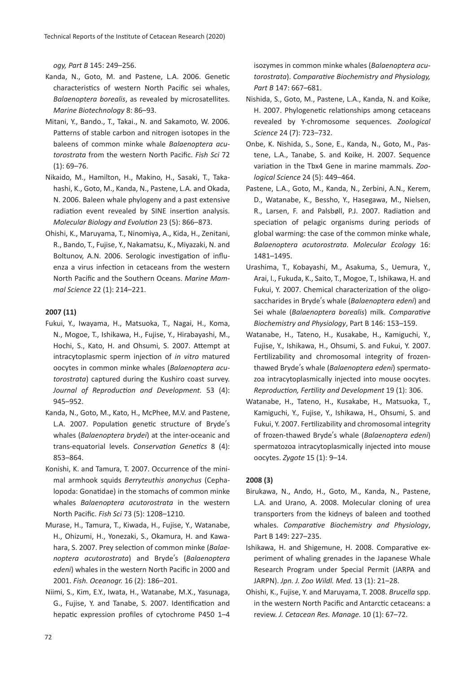*ogy, Part B* 145: 249–256.

- Kanda, N., Goto, M. and Pastene, L.A. 2006. Genetic characteristics of western North Pacific sei whales, *Balaenoptera borealis*, as revealed by microsatellites. *Marine Biotechnology* 8: 86–93.
- Mitani, Y., Bando., T., Takai., N. and Sakamoto, W. 2006. Patterns of stable carbon and nitrogen isotopes in the baleens of common minke whale *Balaenoptera acutorostrata* from the western North Pacific. *Fish Sci* 72 (1): 69–76.
- Nikaido, M., Hamilton, H., Makino, H., Sasaki, T., Takahashi, K., Goto, M., Kanda, N., Pastene, L.A. and Okada, N. 2006. Baleen whale phylogeny and a past extensive radiation event revealed by SINE insertion analysis. *Molecular Biology and Evolution* 23 (5): 866–873.
- Ohishi, K., Maruyama, T., Ninomiya, A., Kida, H., Zenitani, R., Bando, T., Fujise, Y., Nakamatsu, K., Miyazaki, N. and Boltunov, A.N. 2006. Serologic investigation of influenza a virus infection in cetaceans from the western North Pacific and the Southern Oceans. *Marine Mammal Science* 22 (1): 214–221.

### **2007 (11)**

- Fukui, Y., Iwayama, H., Matsuoka, T., Nagai, H., Koma, N., Mogoe, T., Ishikawa, H., Fujise, Y., Hirabayashi, M., Hochi, S., Kato, H. and Ohsumi, S. 2007. Attempt at intracytoplasmic sperm injection of *in vitro* matured oocytes in common minke whales (*Balaenoptera acutorostrata*) captured during the Kushiro coast survey. *Journal of Reproduction and Development.* 53 (4): 945–952.
- Kanda, N., Goto, M., Kato, H., McPhee, M.V. and Pastene, L.A. 2007. Population genetic structure of Bryde's whales (*Balaenoptera brydei*) at the inter-oceanic and trans-equatorial levels. *Conservation Genetics* 8 (4): 853–864.
- Konishi, K. and Tamura, T. 2007. Occurrence of the minimal armhook squids *Berryteuthis anonychus* (Cephalopoda: Gonatidae) in the stomachs of common minke whales *Balaenoptera acutorostrata* in the western North Pacific. *Fish Sci* 73 (5): 1208–1210.
- Murase, H., Tamura, T., Kiwada, H., Fujise, Y., Watanabe, H., Ohizumi, H., Yonezaki, S., Okamura, H. and Kawahara, S. 2007. Prey selection of common minke (*Balaenoptera acutorostrata*) and Bryde's (*Balaenoptera edeni*) whales in the western North Pacific in 2000 and 2001. *Fish. Oceanogr.* 16 (2): 186–201.
- Niimi, S., Kim, E.Y., Iwata, H., Watanabe, M.X., Yasunaga, G., Fujise, Y. and Tanabe, S. 2007. Identification and hepatic expression profiles of cytochrome P450 1-4

isozymes in common minke whales (*Balaenoptera acutorostrata*). *Comparative Biochemistry and Physiology, Part B* 147: 667–681.

- Nishida, S., Goto, M., Pastene, L.A., Kanda, N. and Koike, H. 2007. Phylogenetic relationships among cetaceans revealed by Y-chromosome sequences. *Zoological Science* 24 (7): 723–732.
- Onbe, K. Nishida, S., Sone, E., Kanda, N., Goto, M., Pastene, L.A., Tanabe, S. and Koike, H. 2007. Sequence variation in the Tbx4 Gene in marine mammals. Zoo*logical Science* 24 (5): 449–464.
- Pastene, L.A., Goto, M., Kanda, N., Zerbini, A.N., Kerem, D., Watanabe, K., Bessho, Y., Hasegawa, M., Nielsen, R., Larsen, F. and Palsbøll, P.J. 2007. Radiation and speciation of pelagic organisms during periods of global warming: the case of the common minke whale, *Balaenoptera acutorostrata*. *Molecular Ecology* 16: 1481–1495.
- Urashima, T., Kobayashi, M., Asakuma, S., Uemura, Y., Arai, I., Fukuda, K., Saito, T., Mogoe, T., Ishikawa, H. and Fukui, Y. 2007. Chemical characterization of the oligosaccharides in Bryde's whale (*Balaenoptera edeni*) and Sei whale (*Balaenoptera borealis*) milk. *Comparative Biochemistry and Physiology*, Part B 146: 153–159.
- Watanabe, H., Tateno, H., Kusakabe, H., Kamiguchi, Y., Fujise, Y., Ishikawa, H., Ohsumi, S. and Fukui, Y. 2007. Fertilizability and chromosomal integrity of frozenthawed Bryde's whale (*Balaenoptera edeni*) spermatozoa intracytoplasmically injected into mouse oocytes. *Reproduction, Fertility and Development* 19 (1): 306.
- Watanabe, H., Tateno, H., Kusakabe, H., Matsuoka, T., Kamiguchi, Y., Fujise, Y., Ishikawa, H., Ohsumi, S. and Fukui, Y. 2007. Fertilizability and chromosomal integrity of frozen-thawed Bryde's whale (*Balaenoptera edeni*) spermatozoa intracytoplasmically injected into mouse oocytes. *Zygote* 15 (1): 9–14.

#### **2008 (3)**

- Birukawa, N., Ando, H., Goto, M., Kanda, N., Pastene, L.A. and Urano, A. 2008. Molecular cloning of urea transporters from the kidneys of baleen and toothed whales. *Comparative Biochemistry and Physiology*, Part B 149: 227–235.
- Ishikawa, H. and Shigemune, H. 2008. Comparative experiment of whaling grenades in the Japanese Whale Research Program under Special Permit (JARPA and JARPN). *Jpn. J. Zoo Wildl. Med.* 13 (1): 21–28.
- Ohishi, K., Fujise, Y. and Maruyama, T. 2008. *Brucella* spp. in the western North Pacific and Antarctic cetaceans: a review. *J. Cetacean Res. Manage.* 10 (1): 67–72.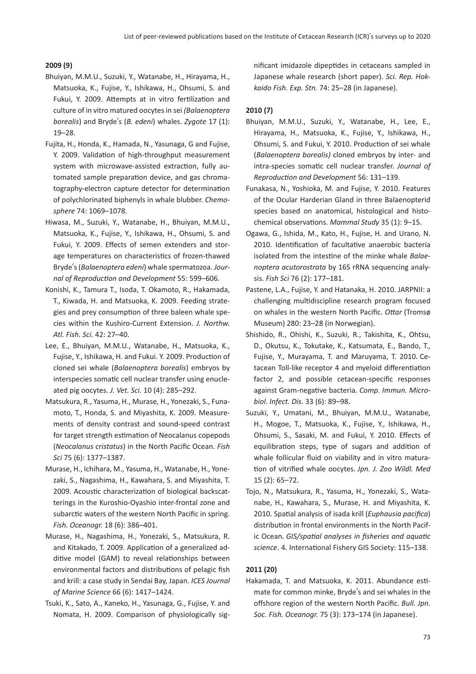# **2009 (9)**

- Bhuiyan, M.M.U., Suzuki, Y., Watanabe, H., Hirayama, H., Matsuoka, K., Fujise, Y., Ishikawa, H., Ohsumi, S. and Fukui, Y. 2009. Attempts at in vitro fertilization and culture of in vitro matured oocytes in sei *(Balaenoptera borealis*) and Bryde's (*B. edeni*) whales. *Zygote* 17 (1): 19–28.
- Fujita, H., Honda, K., Hamada, N., Yasunaga, G and Fujise, Y. 2009. Validation of high-throughput measurement system with microwave-assisted extraction, fully automated sample preparation device, and gas chromatography-electron capture detector for determination of polychlorinated biphenyls in whale blubber. *Chemosphere* 74: 1069–1078.
- Hiwasa, M., Suzuki, Y., Watanabe, H., Bhuiyan, M.M.U., Matsuoka, K., Fujise, Y., Ishikawa, H., Ohsumi, S. and Fukui, Y. 2009. Effects of semen extenders and storage temperatures on characteristics of frozen-thawed Bryde's (*Balaenoptera edeni*) whale spermatozoa. *Journal of Reproduction and Development* 55: 599–606.
- Konishi, K., Tamura T., Isoda, T. Okamoto, R., Hakamada, T., Kiwada, H. and Matsuoka, K. 2009. Feeding strategies and prey consumption of three baleen whale species within the Kushiro-Current Extension. *J. Northw. Atl. Fish. Sci.* 42: 27–40.
- Lee, E., Bhuiyan, M.M.U., Watanabe, H., Matsuoka, K., Fujise, Y., Ishikawa, H. and Fukui. Y. 2009. Production of cloned sei whale (*Balaenoptera borealis*) embryos by interspecies somatic cell nuclear transfer using enucleated pig oocytes. *J. Vet. Sci.* 10 (4): 285–292.
- Matsukura, R., Yasuma, H., Murase, H., Yonezaki, S., Funamoto, T., Honda, S. and Miyashita, K. 2009. Measurements of density contrast and sound-speed contrast for target strength estimation of Neocalanus copepods (*Neocalanus cristatus*) in the North Pacific Ocean. *Fish Sci* 75 (6): 1377–1387.
- Murase, H., Ichihara, M., Yasuma, H., Watanabe, H., Yonezaki, S., Nagashima, H., Kawahara, S. and Miyashita, T. 2009. Acoustic characterization of biological backscatterings in the Kuroshio-Oyashio inter-frontal zone and subarctic waters of the western North Pacific in spring. *Fish. Oceanogr.* 18 (6): 386–401.
- Murase, H., Nagashima, H., Yonezaki, S., Matsukura, R. and Kitakado, T. 2009. Application of a generalized additive model (GAM) to reveal relationships between environmental factors and distributions of pelagic fish and krill: a case study in Sendai Bay, Japan. *ICES Journal of Marine Science* 66 (6): 1417–1424.
- Tsuki, K., Sato, A., Kaneko, H., Yasunaga, G., Fujise, Y. and Nomata, H. 2009. Comparison of physiologically sig-

nificant imidazole dipep�des in cetaceans sampled in Japanese whale research (short paper). *Sci. Rep. Hokkaido Fish. Exp. Stn.* 74: 25–28 (in Japanese).

### **2010 (7)**

- Bhuiyan, M.M.U., Suzuki, Y., Watanabe, H., Lee, E., Hirayama, H., Matsuoka, K., Fujise, Y., Ishikawa, H., Ohsumi, S. and Fukui, Y. 2010. Production of sei whale (*Balaenoptera borealis)* cloned embryos by inter- and intra-species soma�c cell nuclear transfer. *Journal of Reproduction and Development* 56: 131–139.
- Funakasa, N., Yoshioka, M. and Fujise, Y. 2010. Features of the Ocular Harderian Gland in three Balaenopterid species based on anatomical, histological and histochemical observations. *Mammal Study* 35 (1): 9-15.
- Ogawa, G., Ishida, M., Kato, H., Fujise, H. and Urano, N. 2010. Identification of facultative anaerobic bacteria isolated from the intestine of the minke whale *Balaenoptera acutorostrata* by 16S rRNA sequencing analysis. *Fish Sci* 76 (2): 177–181.
- Pastene, L.A., Fujise, Y. and Hatanaka, H. 2010. JARPNII: a challenging multidiscipline research program focused on whales in the western North Pacific. *Ottar* (Tromsø Museum) 280: 23–28 (in Norwegian).
- Shishido, R., Ohishi, K., Suzuki, R., Takishita, K., Ohtsu, D., Okutsu, K., Tokutake, K., Katsumata, E., Bando, T., Fujise, Y., Murayama, T. and Maruyama, T. 2010. Cetacean Toll-like receptor 4 and myeloid differentiation factor 2, and possible cetacean-specific responses against Gram-negative bacteria. Comp. Immun. Micro*biol. Infect. Dis.* 33 (6): 89–98.
- Suzuki, Y., Umatani, M., Bhuiyan, M.M.U., Watanabe, H., Mogoe, T., Matsuoka, K., Fujise, Y., Ishikawa, H., Ohsumi, S., Sasaki, M. and Fukui, Y. 2010. Effects of equilibration steps, type of sugars and addition of whale follicular fluid on viability and in vitro matura- �on of vitrified whale oocytes.*Jpn. J. Zoo Wildl. Med* 15 (2): 65–72.
- Tojo, N., Matsukura, R., Yasuma, H., Yonezaki, S., Watanabe, H., Kawahara, S., Murase, H. and Miyashita, K. 2010. Spatial analysis of isada krill (*Euphausia pacifica*) distribution in frontal environments in the North Pacific Ocean.*GIS/spatial analyses in fisheries and aquatic*  science. 4. International Fishery GIS Society: 115-138.

#### **2011 (20)**

Hakamada, T. and Matsuoka, K. 2011. Abundance estimate for common minke, Bryde's and sei whales in the offshore region of the western North Pacific. *Bull. Jpn. Soc. Fish. Oceanogr.* 75 (3): 173–174 (in Japanese).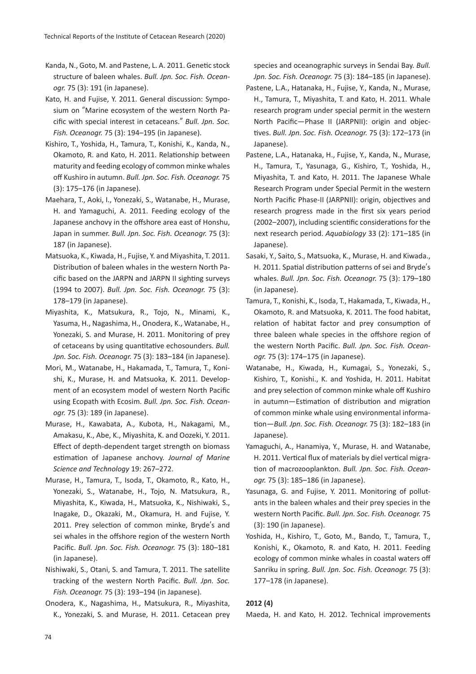- Kanda, N., Goto, M. and Pastene, L. A. 2011. Genetic stock structure of baleen whales. *Bull. Jpn. Soc. Fish. Oceanogr.* 75 (3): 191 (in Japanese).
- Kato, H. and Fujise, Y. 2011. General discussion: Symposium on "Marine ecosystem of the western North Pacific with special interest in cetaceans." *Bull. Jpn. Soc. Fish. Oceanogr.* 75 (3): 194–195 (in Japanese).
- Kishiro, T., Yoshida, H., Tamura, T., Konishi, K., Kanda, N., Okamoto, R. and Kato, H. 2011. Relationship between maturity and feeding ecology of common minke whales off Kushiro in autumn. *Bull. Jpn. Soc. Fish. Oceanogr.* 75 (3): 175–176 (in Japanese).
- Maehara, T., Aoki, I., Yonezaki, S., Watanabe, H., Murase, H. and Yamaguchi, A. 2011. Feeding ecology of the Japanese anchovy in the offshore area east of Honshu, Japan in summer. *Bull. Jpn. Soc. Fish. Oceanogr.* 75 (3): 187 (in Japanese).
- Matsuoka, K., Kiwada, H., Fujise, Y. and Miyashita, T. 2011. Distribution of baleen whales in the western North Pacific based on the JARPN and JARPN II sighting surveys (1994 to 2007). *Bull. Jpn. Soc. Fish. Oceanogr.* 75 (3): 178–179 (in Japanese).
- Miyashita, K., Matsukura, R., Tojo, N., Minami, K., Yasuma, H., Nagashima, H., Onodera, K., Watanabe, H., Yonezaki, S. and Murase, H. 2011. Monitoring of prey of cetaceans by using quantitative echosounders. *Bull. Jpn. Soc. Fish. Oceanogr.* 75 (3): 183–184 (in Japanese).
- Mori, M., Watanabe, H., Hakamada, T., Tamura, T., Konishi, K., Murase, H. and Matsuoka, K. 2011. Development of an ecosystem model of western North Pacific using Ecopath with Ecosim. *Bull. Jpn. Soc. Fish. Oceanogr.* 75 (3): 189 (in Japanese).
- Murase, H., Kawabata, A., Kubota, H., Nakagami, M., Amakasu, K., Abe, K., Miyashita, K. and Oozeki, Y. 2011. Effect of depth-dependent target strength on biomass estimation of Japanese anchovy. *Journal of Marine Science and Technology* 19: 267–272.
- Murase, H., Tamura, T., Isoda, T., Okamoto, R., Kato, H., Yonezaki, S., Watanabe, H., Tojo, N. Matsukura, R., Miyashita, K., Kiwada, H., Matsuoka, K., Nishiwaki, S., Inagake, D., Okazaki, M., Okamura, H. and Fujise, Y. 2011. Prey selection of common minke, Bryde's and sei whales in the offshore region of the western North Pacific. *Bull. Jpn. Soc. Fish. Oceanogr.* 75 (3): 180–181 (in Japanese).
- Nishiwaki, S., Otani, S. and Tamura, T. 2011. The satellite tracking of the western North Pacific. *Bull. Jpn. Soc. Fish. Oceanogr.* 75 (3): 193–194 (in Japanese).
- Onodera, K., Nagashima, H., Matsukura, R., Miyashita, K., Yonezaki, S. and Murase, H. 2011. Cetacean prey

species and oceanographic surveys in Sendai Bay. *Bull. Jpn. Soc. Fish. Oceanogr.* 75 (3): 184–185 (in Japanese).

- Pastene, L.A., Hatanaka, H., Fujise, Y., Kanda, N., Murase, H., Tamura, T., Miyashita, T. and Kato, H. 2011. Whale research program under special permit in the western North Pacific—Phase II (JARPNII): origin and objec- �ves. *Bull. Jpn. Soc. Fish. Oceanogr.* 75 (3): 172–173 (in Japanese).
- Pastene, L.A., Hatanaka, H., Fujise, Y., Kanda, N., Murase, H., Tamura, T., Yasunaga, G., Kishiro, T., Yoshida, H., Miyashita, T. and Kato, H. 2011. The Japanese Whale Research Program under Special Permit in the western North Pacific Phase-II (JARPNII): origin, objectives and research progress made in the first six years period (2002–2007), including scientific considerations for the next research period. *Aquabiology* 33 (2): 171–185 (in Japanese).
- Sasaki, Y., Saito, S., Matsuoka, K., Murase, H. and Kiwada., H. 2011. Spatial distribution patterns of sei and Bryde's whales. *Bull. Jpn. Soc. Fish. Oceanogr.* 75 (3): 179–180 (in Japanese).
- Tamura, T., Konishi, K., Isoda, T., Hakamada, T., Kiwada, H., Okamoto, R. and Matsuoka, K. 2011. The food habitat, relation of habitat factor and prey consumption of three baleen whale species in the offshore region of the western North Pacific. *Bull. Jpn. Soc. Fish. Oceanogr.* 75 (3): 174–175 (in Japanese).
- Watanabe, H., Kiwada, H., Kumagai, S., Yonezaki, S., Kishiro, T., Konishi., K. and Yoshida, H. 2011. Habitat and prey selection of common minke whale off Kushiro in autumn-Estimation of distribution and migration of common minke whale using environmental informa- �on—*Bull. Jpn. Soc. Fish. Oceanogr.* 75 (3): 182–183 (in Japanese).
- Yamaguchi, A., Hanamiya, Y., Murase, H. and Watanabe, H. 2011. Vertical flux of materials by diel vertical migra-�on of macrozooplankton. *Bull. Jpn. Soc. Fish. Oceanogr.* 75 (3): 185–186 (in Japanese).
- Yasunaga, G. and Fujise, Y. 2011. Monitoring of pollutants in the baleen whales and their prey species in the western North Pacific. *Bull. Jpn. Soc. Fish. Oceanogr.* 75 (3): 190 (in Japanese).
- Yoshida, H., Kishiro, T., Goto, M., Bando, T., Tamura, T., Konishi, K., Okamoto, R. and Kato, H. 2011. Feeding ecology of common minke whales in coastal waters off Sanriku in spring. *Bull. Jpn. Soc. Fish. Oceanogr.* 75 (3): 177–178 (in Japanese).

# **2012 (4)**

Maeda, H. and Kato, H. 2012. Technical improvements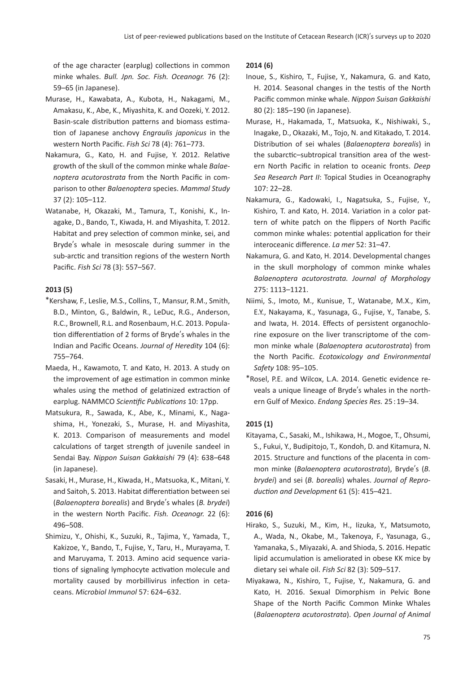of the age character (earplug) collections in common minke whales. *Bull. Jpn. Soc. Fish. Oceanogr.* 76 (2): 59–65 (in Japanese).

- Murase, H., Kawabata, A., Kubota, H., Nakagami, M., Amakasu, K., Abe, K., Miyashita, K. and Oozeki, Y. 2012. Basin-scale distribution patterns and biomass estima-�on of Japanese anchovy *Engraulis japonicus* in the western North Pacific. *Fish Sci* 78 (4): 761–773.
- Nakamura, G., Kato, H. and Fujise, Y. 2012. Relative growth of the skull of the common minke whale *Balaenoptera acutorostrata* from the North Pacific in comparison to other *Balaenoptera* species. *Mammal Study* 37 (2): 105–112.
- Watanabe, H, Okazaki, M., Tamura, T., Konishi, K., Inagake, D., Bando, T., Kiwada, H. and Miyashita, T. 2012. Habitat and prey selection of common minke, sei, and Bryde's whale in mesoscale during summer in the sub-arctic and transition regions of the western North Pacific. *Fish Sci* 78 (3): 557–567.

# **2013 (5)**

- \*Kershaw, F., Leslie, M.S., Collins, T., Mansur, R.M., Smith, B.D., Minton, G., Baldwin, R., LeDuc, R.G., Anderson, R.C., Brownell, R.L. and Rosenbaum, H.C. 2013. Popula tion differentiation of 2 forms of Bryde's whales in the Indian and Pacific Oceans. *Journal of Heredity* 104 (6): 755–764.
- Maeda, H., Kawamoto, T. and Kato, H. 2013. A study on the improvement of age estimation in common minke whales using the method of gelatinized extraction of earplug. NAMMCO *Scientific Publications* 10: 17pp.
- Matsukura, R., Sawada, K., Abe, K., Minami, K., Nagashima, H., Yonezaki, S., Murase, H. and Miyashita, K. 2013. Comparison of measurements and model calculations of target strength of juvenile sandeel in Sendai Bay. *Nippon Suisan Gakkaishi* 79 (4): 638–648 (in Japanese).
- Sasaki, H., Murase, H., Kiwada, H., Matsuoka, K., Mitani, Y. and Saitoh, S. 2013. Habitat differentiation between sei (*Balaenoptera borealis*) and Bryde's whales (*B. brydei*) in the western North Pacific. *Fish. Oceanogr.* 22 (6): 496–508.
- Shimizu, Y., Ohishi, K., Suzuki, R., Tajima, Y., Yamada, T., Kakizoe, Y., Bando, T., Fujise, Y., Taru, H., Murayama, T. and Maruyama, T. 2013. Amino acid sequence varia tions of signaling lymphocyte activation molecule and mortality caused by morbillivirus infection in cetaceans. *Microbiol Immunol* 57: 624–632.

# **2014 (6)**

- Inoue, S., Kishiro, T., Fujise, Y., Nakamura, G. and Kato, H. 2014. Seasonal changes in the testis of the North Pacific common minke whale. *Nippon Suisan Gakkaishi* 80 (2): 185–190 (in Japanese).
- Murase, H., Hakamada, T., Matsuoka, K., Nishiwaki, S., Inagake, D., Okazaki, M., Tojo, N. and Kitakado, T. 2014. Distribu�on of sei whales (*Balaenoptera borealis*) in the subarctic–subtropical transition area of the western North Pacific in relation to oceanic fronts. *Deep Sea Research Part II*: Topical Studies in Oceanography 107: 22–28.
- Nakamura, G., Kadowaki, I., Nagatsuka, S., Fujise, Y., Kishiro, T. and Kato, H. 2014. Variation in a color pattern of white patch on the flippers of North Pacific common minke whales: potential application for their interoceanic difference. *La mer* 52: 31–47.
- Nakamura, G. and Kato, H. 2014. Developmental changes in the skull morphology of common minke whales *Balaenoptera acutorostrata. Journal of Morphology* 275: 1113–1121.
- Niimi, S., Imoto, M., Kunisue, T., Watanabe, M.X., Kim, E.Y., Nakayama, K., Yasunaga, G., Fujise, Y., Tanabe, S. and Iwata, H. 2014. Effects of persistent organochlorine exposure on the liver transcriptome of the common minke whale (*Balaenoptera acutorostrata*) from the North Pacific. *Ecotoxicology and Environmental Safety* 108: 95–105.
- \*Rosel, P.E. and Wilcox, L.A. 2014. Gene�c evidence reveals a unique lineage of Bryde's whales in the northern Gulf of Mexico. *Endang Species Res.* 25 : 19–34.

# **2015 (1)**

Kitayama, C., Sasaki, M., Ishikawa, H., Mogoe, T., Ohsumi, S., Fukui, Y., Budipitojo, T., Kondoh, D. and Kitamura, N. 2015. Structure and functions of the placenta in common minke (*Balaenoptera acutorostrata*), Bryde's (*B. brydei*) and sei (*B. borealis*) whales. *Journal of Reproduction and Development* 61 (5): 415–421.

# **2016 (6)**

- Hirako, S., Suzuki, M., Kim, H., Iizuka, Y., Matsumoto, A., Wada, N., Okabe, M., Takenoya, F., Yasunaga, G., Yamanaka, S., Miyazaki, A. and Shioda, S. 2016. Hepatic lipid accumulation is ameliorated in obese KK mice by dietary sei whale oil. *Fish Sci* 82 (3): 509–517.
- Miyakawa, N., Kishiro, T., Fujise, Y., Nakamura, G. and Kato, H. 2016. Sexual Dimorphism in Pelvic Bone Shape of the North Pacific Common Minke Whales (*Balaenoptera acutorostrata*). *Open Journal of Animal*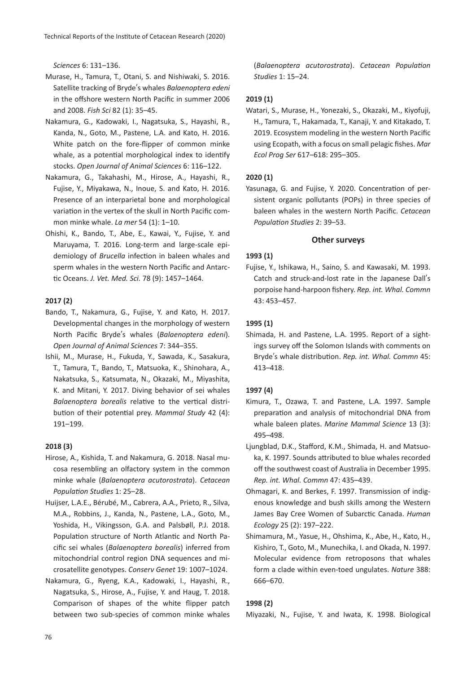*Sciences* 6: 131–136.

- Murase, H., Tamura, T., Otani, S. and Nishiwaki, S. 2016. Satellite tracking of Bryde's whales *Balaenoptera edeni* in the offshore western North Pacific in summer 2006 and 2008. *Fish Sci* 82 (1): 35–45.
- Nakamura, G., Kadowaki, I., Nagatsuka, S., Hayashi, R., Kanda, N., Goto, M., Pastene, L.A. and Kato, H. 2016. White patch on the fore-flipper of common minke whale, as a potential morphological index to identify stocks. *Open Journal of Animal Sciences* 6: 116–122.
- Nakamura, G., Takahashi, M., Hirose, A., Hayashi, R., Fujise, Y., Miyakawa, N., Inoue, S. and Kato, H. 2016. Presence of an interparietal bone and morphological variation in the vertex of the skull in North Pacific common minke whale. *La mer* 54 (1): 1–10.
- Ohishi, K., Bando, T., Abe, E., Kawai, Y., Fujise, Y. and Maruyama, T. 2016. Long-term and large-scale epidemiology of *Brucella* infection in baleen whales and sperm whales in the western North Pacific and Antarc- �c Oceans. *J. Vet. Med. Sci.* 78 (9): 1457–1464.

# **2017 (2)**

- Bando, T., Nakamura, G., Fujise, Y. and Kato, H. 2017. Developmental changes in the morphology of western North Pacific Bryde's whales (*Balaenoptera edeni*). *Open Journal of Animal Sciences* 7: 344–355.
- Ishii, M., Murase, H., Fukuda, Y., Sawada, K., Sasakura, T., Tamura, T., Bando, T., Matsuoka, K., Shinohara, A., Nakatsuka, S., Katsumata, N., Okazaki, M., Miyashita, K. and Mitani, Y. 2017. Diving behavior of sei whales Balaenoptera borealis relative to the vertical distribution of their potential prey. *Mammal Study* 42 (4): 191–199.

#### **2018 (3)**

- Hirose, A., Kishida, T. and Nakamura, G. 2018. Nasal mucosa resembling an olfactory system in the common minke whale (*Balaenoptera acutorostrata*). *Cetacean Population Studies* 1: 25–28.
- Huijser, L.A.E., Bérubé, M., Cabrera, A.A., Prieto, R., Silva, M.A., Robbins, J., Kanda, N., Pastene, L.A., Goto, M., Yoshida, H., Vikingsson, G.A. and Palsbøll, P.J. 2018. Population structure of North Atlantic and North Pacific sei whales (*Balaenoptera borealis*) inferred from mitochondrial control region DNA sequences and microsatellite genotypes. *Conserv Genet* 19: 1007–1024.
- Nakamura, G., Ryeng, K.A., Kadowaki, I., Hayashi, R., Nagatsuka, S., Hirose, A., Fujise, Y. and Haug, T. 2018. Comparison of shapes of the white flipper patch between two sub-species of common minke whales

(*Balaenoptera acutorostrata*). *Cetacean Population Studies* 1: 15–24.

### **2019 (1)**

Watari, S., Murase, H., Yonezaki, S., Okazaki, M., Kiyofuji, H., Tamura, T., Hakamada, T., Kanaji, Y. and Kitakado, T. 2019. Ecosystem modeling in the western North Pacific using Ecopath, with a focus on small pelagic fishes. *Mar Ecol Prog Ser* 617–618: 295–305.

#### **2020 (1)**

Yasunaga, G. and Fujise, Y. 2020. Concentration of persistent organic pollutants (POPs) in three species of baleen whales in the western North Pacific. *Cetacean Population Studies* 2: 39–53.

### **Other surveys**

### **1993 (1)**

Fujise, Y., Ishikawa, H., Saino, S. and Kawasaki, M. 1993. Catch and struck-and-lost rate in the Japanese Dall's porpoise hand-harpoon fishery. *Rep. int. Whal. Commn* 43: 453–457.

### **1995 (1)**

Shimada, H. and Pastene, L.A. 1995. Report of a sightings survey off the Solomon Islands with comments on Bryde's whale distribution. Rep. int. Whal. Commn 45: 413–418.

#### **1997 (4)**

- Kimura, T., Ozawa, T. and Pastene, L.A. 1997. Sample preparation and analysis of mitochondrial DNA from whale baleen plates. *Marine Mammal Science* 13 (3): 495–498.
- Ljungblad, D.K., Stafford, K.M., Shimada, H. and Matsuoka, K. 1997. Sounds a�ributed to blue whales recorded off the southwest coast of Australia in December 1995. *Rep. int. Whal. Commn* 47: 435–439.
- Ohmagari, K. and Berkes, F. 1997. Transmission of indigenous knowledge and bush skills among the Western James Bay Cree Women of Subarc�c Canada. *Human Ecology* 25 (2): 197–222.
- Shimamura, M., Yasue, H., Ohshima, K., Abe, H., Kato, H., Kishiro, T., Goto, M., Munechika, I. and Okada, N. 1997. Molecular evidence from retroposons that whales form a clade within even-toed ungulates. *Nature* 388: 666–670.

#### **1998 (2)**

Miyazaki, N., Fujise, Y. and Iwata, K. 1998. Biological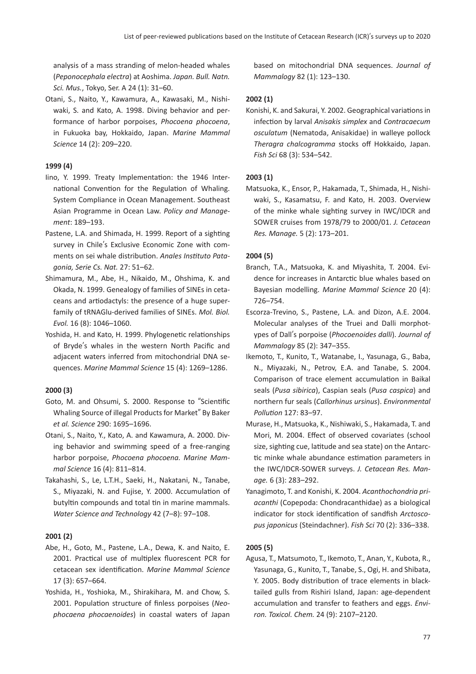analysis of a mass stranding of melon-headed whales (*Peponocephala electra*) at Aoshima. *Japan. Bull. Natn. Sci. Mus.*, Tokyo, Ser. A 24 (1): 31–60.

Otani, S., Naito, Y., Kawamura, A., Kawasaki, M., Nishiwaki, S. and Kato, A. 1998. Diving behavior and performance of harbor porpoises, *Phocoena phocoena*, in Fukuoka bay, Hokkaido, Japan. *Marine Mammal Science* 14 (2): 209–220.

# **1999 (4)**

- lino, Y. 1999. Treaty Implementation: the 1946 International Convention for the Regulation of Whaling. System Compliance in Ocean Management. Southeast Asian Programme in Ocean Law. *Policy and Management*: 189–193.
- Pastene, L.A. and Shimada, H. 1999. Report of a sighting survey in Chile's Exclusive Economic Zone with comments on sei whale distribution. Anales Instituto Pata*gonia, Serie Cs. Nat.* 27: 51–62.
- Shimamura, M., Abe, H., Nikaido, M., Ohshima, K. and Okada, N. 1999. Genealogy of families of SINEs in cetaceans and artiodactyls: the presence of a huge superfamily of tRNAGlu-derived families of SINEs. *Mol. Biol. Evol.* 16 (8): 1046–1060.
- Yoshida, H. and Kato, H. 1999. Phylogenetic relationships of Bryde's whales in the western North Pacific and adjacent waters inferred from mitochondrial DNA sequences. *Marine Mammal Science* 15 (4): 1269–1286.

# **2000 (3)**

- Goto, M. and Ohsumi, S. 2000. Response to "Scientific Whaling Source of illegal Products for Market" By Baker *et al. Science* 290: 1695–1696.
- Otani, S., Naito, Y., Kato, A. and Kawamura, A. 2000. Diving behavior and swimming speed of a free-ranging harbor porpoise, *Phocoena phocoena. Marine Mammal Science* 16 (4): 811–814.
- Takahashi, S., Le, L.T.H., Saeki, H., Nakatani, N., Tanabe, S., Miyazaki, N. and Fujise, Y. 2000. Accumulation of butyltin compounds and total tin in marine mammals. *Water Science and Technology* 42 (7–8): 97–108.

# **2001 (2)**

- Abe, H., Goto, M., Pastene, L.A., Dewa, K. and Naito, E. 2001. Practical use of multiplex fluorescent PCR for cetacean sex identification. Marine Mammal Science 17 (3): 657–664.
- Yoshida, H., Yoshioka, M., Shirakihara, M. and Chow, S. 2001. Population structure of finless porpoises (Neo*phocaena phocaenoides*) in coastal waters of Japan

based on mitochondrial DNA sequences. *Journal of Mammalogy* 82 (1): 123–130.

# **2002 (1)**

Konishi, K. and Sakurai, Y. 2002. Geographical variations in infection by larval *Anisakis simplex* and *Contracaecum osculatum* (Nematoda, Anisakidae) in walleye pollock *Theragra chalcogramma* stocks off Hokkaido, Japan. *Fish Sci* 68 (3): 534–542.

# **2003 (1)**

Matsuoka, K., Ensor, P., Hakamada, T., Shimada, H., Nishiwaki, S., Kasamatsu, F. and Kato, H. 2003. Overview of the minke whale sighting survey in IWC/IDCR and SOWER cruises from 1978/79 to 2000/01. *J. Cetacean Res. Manage.* 5 (2): 173–201.

# **2004 (5)**

- Branch, T.A., Matsuoka, K. and Miyashita, T. 2004. Evidence for increases in Antarctic blue whales based on Bayesian modelling. *Marine Mammal Science* 20 (4): 726–754.
- Escorza-Trevino, S., Pastene, L.A. and Dizon, A.E. 2004. Molecular analyses of the Truei and Dalli morphotypes of Dall's porpoise (*Phocoenoides dalli*). *Journal of Mammalogy* 85 (2): 347–355.
- Ikemoto, T., Kunito, T., Watanabe, I., Yasunaga, G., Baba, N., Miyazaki, N., Petrov, E.A. and Tanabe, S. 2004. Comparison of trace element accumulation in Baikal seals (*Pusa sibirica*), Caspian seals (*Pusa caspica*) and northern fur seals (*Callorhinus ursinus*). *Environmental Pollution* 127: 83–97.
- Murase, H., Matsuoka, K., Nishiwaki, S., Hakamada, T. and Mori, M. 2004. Effect of observed covariates (school size, sighting cue, latitude and sea state) on the Antarctic minke whale abundance estimation parameters in the IWC/IDCR-SOWER surveys. *J. Cetacean Res. Manage.* 6 (3): 283–292.
- Yanagimoto, T. and Konishi, K. 2004. *Acanthochondria priacanthi* (Copepoda: Chondracanthidae) as a biological indicator for stock identification of sandfish *Arctoscopus japonicus* (Steindachner). *Fish Sci* 70 (2): 336–338.

# **2005 (5)**

Agusa, T., Matsumoto, T., Ikemoto, T., Anan, Y., Kubota, R., Yasunaga, G., Kunito, T., Tanabe, S., Ogi, H. and Shibata, Y. 2005. Body distribution of trace elements in blacktailed gulls from Rishiri Island, Japan: age-dependent accumulation and transfer to feathers and eggs. *Environ. Toxicol. Chem.* 24 (9): 2107–2120.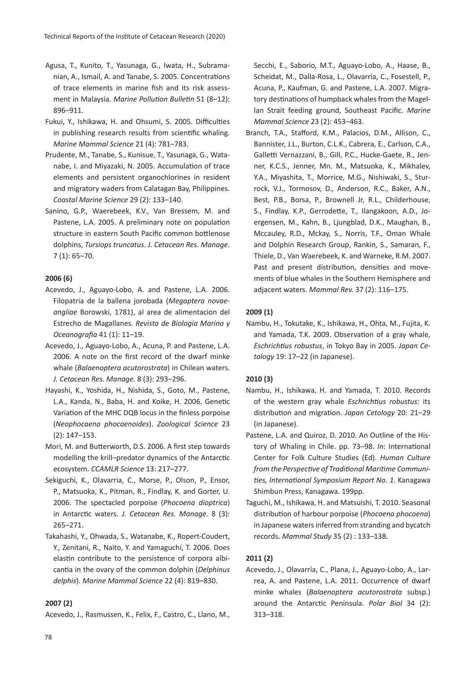- Agusa, T., Kunito, T., Yasunaga, G., Iwata, H., Subramanian, A., Ismail, A. and Tanabe, S. 2005. Concentrations of trace elements in marine fish and its risk assessment in Malaysia. *Marine Pollution Bulletin* 51 (8–12): 896–911.
- Fukui, Y., Ishikawa, H. and Ohsumi, S. 2005. Difficul�es in publishing research results from scientific whaling. *Marine Mammal Science* 21 (4): 781–783.
- Prudente, M., Tanabe, S., Kunisue, T., Yasunaga, G., Watanabe, I. and Miyazaki, N. 2005. Accumulation of trace elements and persistent organochlorines in resident and migratory waders from Calatagan Bay, Philippines. *Coastal Marine Science* 29 (2): 133–140.
- Sanino, G.P., Waerebeek, K.V., Van Bressem, M. and Pastene, L.A. 2005. A preliminary note on population structure in eastern South Pacific common bottlenose dolphins, *Tursiops truncatus. J. Cetacean Res. Manage.* 7 (1): 65–70.

# **2006 (6)**

- Acevedo, J., Aguayo-Lobo, A. and Pastene, L.A. 2006. Filopatria de la ballena jorobada (*Megaptera novaeangliae* Borowski, 1781), al area de alimentacion del Estrecho de Magallanes. *Revista de Biologia Marina y Oceanografia* 41 (1): 11–19.
- Acevedo, J., Aguayo-Lobo, A., Acuna, P. and Pastene, L.A. 2006. A note on the first record of the dwarf minke whale (*Balaenoptera acutorostrata*) in Chilean waters. *J. Cetacean Res. Manage.* 8 (3): 293–296.
- Hayashi, K., Yoshida, H., Nishida, S., Goto, M., Pastene, L.A., Kanda, N., Baba, H. and Koike, H. 2006. Genetic Variation of the MHC DQB locus in the finless porpoise (*Neophocaena phocaenoides*). *Zoological Science* 23 (2): 147–153.
- Mori, M. and Bu�erworth, D.S. 2006. A first step towards modelling the krill–predator dynamics of the Antarctic ecosystem. *CCAMLR Science* 13: 217–277.
- Sekiguchi, K., Olavarria, C., Morse, P., Olson, P., Ensor, P., Matsuoka, K., Pitman, R., Findlay, K. and Gorter, U. 2006. The spectacled porpoise (*Phocoena dioptrica*) in Antarc�c waters. *J. Cetacean Res. Manage.* 8 (3): 265–271.
- Takahashi, Y., Ohwada, S., Watanabe, K., Ropert-Coudert, Y., Zenitani, R., Naito, Y. and Yamaguchi, T. 2006. Does elastin contribute to the persistence of corpora albicantia in the ovary of the common dolphin (*Delphinus delphis*). *Marine Mammal Science* 22 (4): 819–830.

# **2007 (2)**

Acevedo, J., Rasmussen, K., Felix, F., Castro, C., Llano, M.,

Secchi, E., Saborio, M.T., Aguayo-Lobo, A., Haase, B., Scheidat, M., Dalla-Rosa, L., Olavarria, C., Fosestell, P., Acuna, P., Kaufman, G. and Pastene, L.A. 2007. Migratory destinations of humpback whales from the Magellan Strait feeding ground, Southeast Pacific. *Marine Mammal Science* 23 (2): 453–463.

Branch, T.A., Stafford, K.M., Palacios, D.M., Allison, C., Bannister, J.L., Burton, C.L.K., Cabrera, E., Carlson, C.A., Galletti Vernazzani, B., Gill, P.C., Hucke-Gaete, R., Jenner, K.C.S., Jenner, Mn. M., Matsuoka, K., Mikhalev, Y.A., Miyashita, T., Morrice, M.G., Nishiwaki, S., Sturrock, V.J., Tormosov, D., Anderson, R.C., Baker, A.N., Best, P.B., Borsa, P., Brownell Jr, R.L., Childerhouse, S., Findlay, K.P., Gerrodette, T., Ilangakoon, A.D., Joergensen, M., Kahn, B., Ljungblad, D.K., Maughan, B., Mccauley, R.D., Mckay, S., Norris, T.F., Oman Whale and Dolphin Research Group, Rankin, S., Samaran, F., Thiele, D., Van Waerebeek, K. and Warneke, R.M. 2007. Past and present distribution, densities and movements of blue whales in the Southern Hemisphere and adjacent waters. *Mammal Rev.* 37 (2): 116–175.

# **2009 (1)**

Nambu, H., Tokutake, K., Ishikawa, H., Ohta, M., Fujita, K. and Yamada, T.K. 2009. Observation of a gray whale, *Eschrichtius robustus*, in Tokyo Bay in 2005. *Japan Cetology* 19: 17–22 (in Japanese).

# **2010 (3)**

- Nambu, H., Ishikawa, H. and Yamada, T. 2010. Records of the western gray whale *Eschrichtius robustus*: its distribution and migration. *Japan Cetology* 20: 21-29 (in Japanese).
- Pastene, L.A. and Quiroz, D. 2010. An Outline of the History of Whaling in Chile. pp. 73-98. *In*: International Center for Folk Culture Studies (Ed). *Human Culture from the Perspective of Traditional Maritime Communities, International Symposium Report No. 1*. Kanagawa Shimbun Press, Kanagawa. 199pp.
- Taguchi, M., Ishikawa, H. and Matsuishi, T. 2010. Seasonal distribution of harbour porpoise (*Phocoena phocoena*) in Japanese waters inferred from stranding and bycatch records.*Mammal Study* 35 (2) : 133–138.

#### **2011 (2)**

Acevedo, J., Olavarría, C., Plana, J., Aguayo-Lobo, A., Larrea, A. and Pastene, L.A. 2011. Occurrence of dwarf minke whales (*Balaenoptera acutorostrata* subsp.) around the Antarc�c Peninsula. *Polar Biol* 34 (2): 313–318.